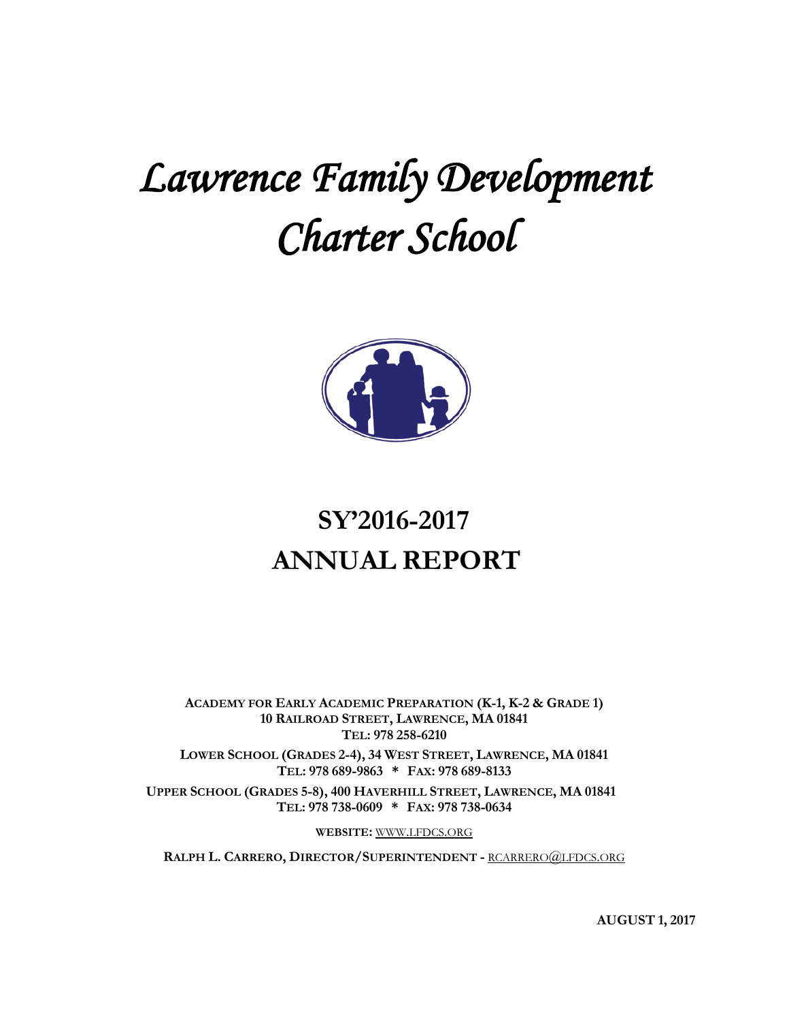# *Lawrence Family Development Charter School*



# **SY'2016-2017 ANNUAL REPORT**

**ACADEMY FOR EARLY ACADEMIC PREPARATION (K-1, K-2 & GRADE 1) 10 RAILROAD STREET, LAWRENCE, MA 01841 TEL: 978 258-6210**

**LOWER SCHOOL (GRADES 2-4), 34 WEST STREET, LAWRENCE, MA 01841 TEL: 978 689-9863 \* FAX: 978 689-8133**

**UPPER SCHOOL (GRADES 5-8), 400 HAVERHILL STREET, LAWRENCE, MA 01841 TEL: 978 738-0609 \* FAX: 978 738-0634**

**WEBSITE:** [WWW.LFDCS.ORG](http://www.lfdcs.org/)

**RALPH L. CARRERO, DIRECTOR/SUPERINTENDENT -** [RCARRERO@LFDCS.ORG](mailto:rcarrero@lfdcs.org)

**AUGUST 1, 2017**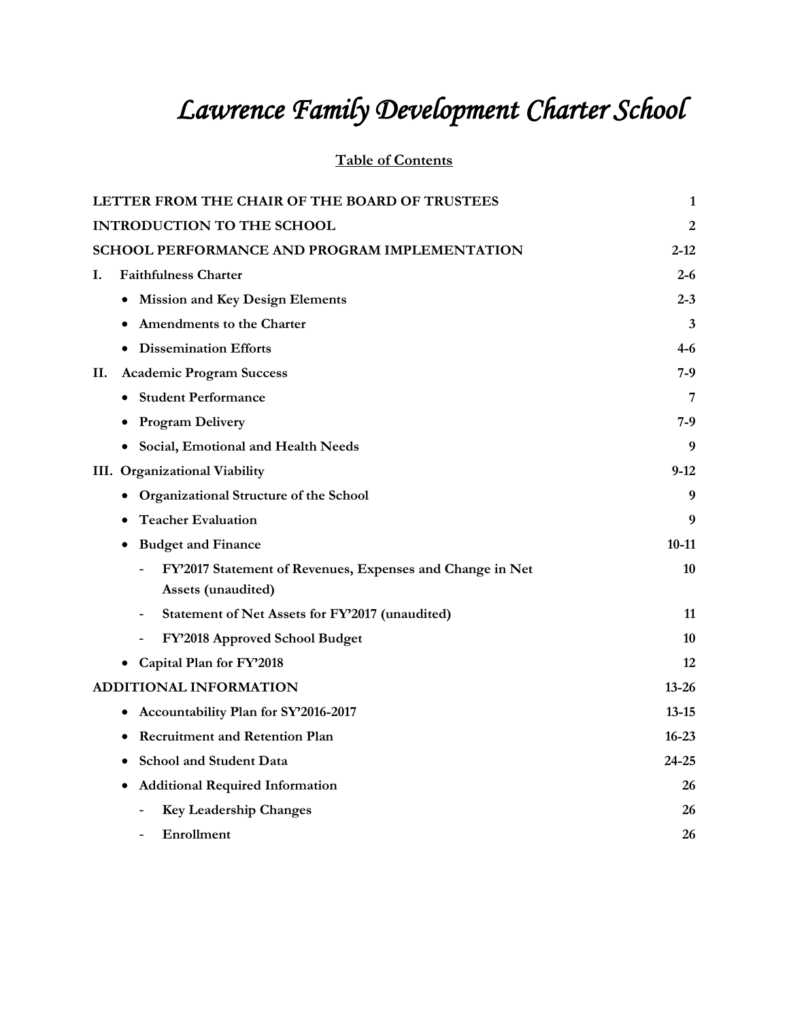# *Lawrence Family Development Charter School*

# **Table of Contents**

| LETTER FROM THE CHAIR OF THE BOARD OF TRUSTEES                              | $\mathbf{1}$ |
|-----------------------------------------------------------------------------|--------------|
| <b>INTRODUCTION TO THE SCHOOL</b>                                           | 2            |
| <b>SCHOOL PERFORMANCE AND PROGRAM IMPLEMENTATION</b>                        | $2 - 12$     |
| <b>Faithfulness Charter</b><br>I.                                           | $2 - 6$      |
| <b>Mission and Key Design Elements</b><br>٠                                 | $2 - 3$      |
| Amendments to the Charter                                                   | 3            |
| <b>Dissemination Efforts</b>                                                | 4-6          |
| <b>Academic Program Success</b><br>П.                                       | 7-9          |
| • Student Performance                                                       | 7            |
| <b>Program Delivery</b>                                                     | 7-9          |
| Social, Emotional and Health Needs                                          | 9            |
| III. Organizational Viability                                               | $9-12$       |
| Organizational Structure of the School                                      | 9            |
| <b>Teacher Evaluation</b>                                                   | 9            |
| <b>Budget and Finance</b><br>٠                                              | $10-11$      |
| FY'2017 Statement of Revenues, Expenses and Change in Net                   | 10           |
| Assets (unaudited)                                                          |              |
| Statement of Net Assets for FY'2017 (unaudited)<br>$\overline{\phantom{a}}$ | 11           |
| FY'2018 Approved School Budget                                              | 10           |
| Capital Plan for FY'2018                                                    | 12           |
| <b>ADDITIONAL INFORMATION</b>                                               | $13 - 26$    |
| Accountability Plan for SY'2016-2017<br>٠                                   | $13 - 15$    |
| <b>Recruitment and Retention Plan</b>                                       | $16 - 23$    |
| <b>School and Student Data</b>                                              | 24-25        |
| <b>Additional Required Information</b><br>٠                                 | 26           |
| <b>Key Leadership Changes</b>                                               | 26           |
| Enrollment                                                                  | 26           |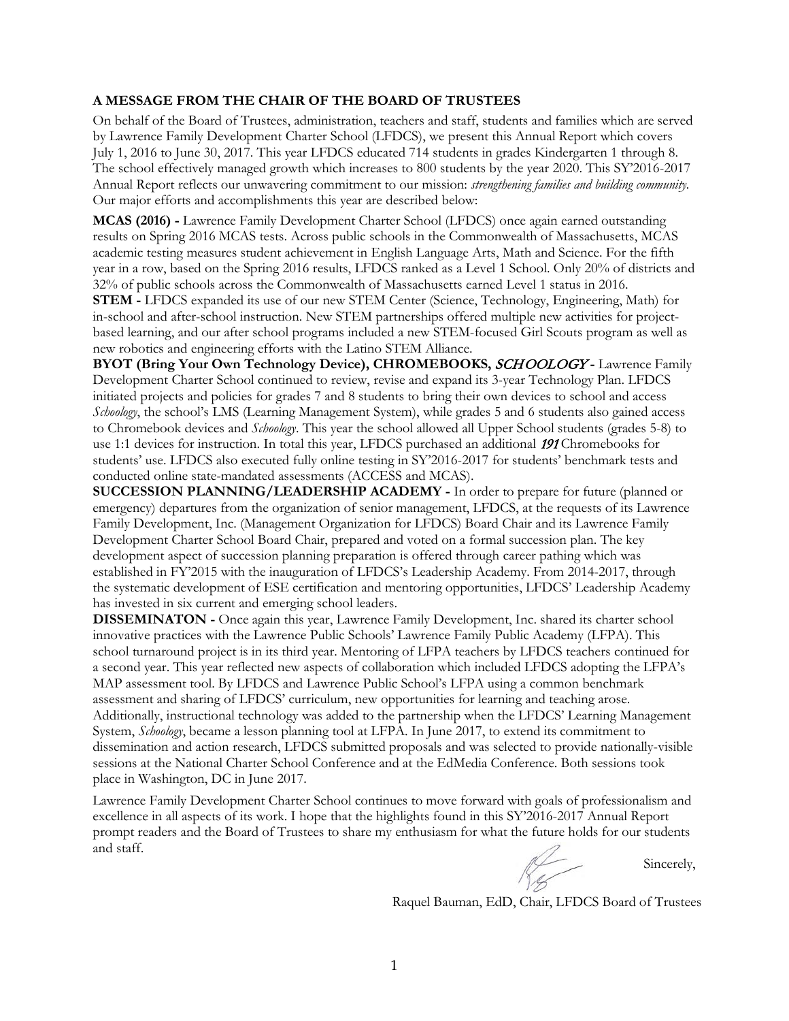#### **A MESSAGE FROM THE CHAIR OF THE BOARD OF TRUSTEES**

On behalf of the Board of Trustees, administration, teachers and staff, students and families which are served by Lawrence Family Development Charter School (LFDCS), we present this Annual Report which covers July 1, 2016 to June 30, 2017. This year LFDCS educated 714 students in grades Kindergarten 1 through 8. The school effectively managed growth which increases to 800 students by the year 2020. This SY'2016-2017 Annual Report reflects our unwavering commitment to our mission: *strengthening families and building community.*  Our major efforts and accomplishments this year are described below:

**MCAS (2016) -** Lawrence Family Development Charter School (LFDCS) once again earned outstanding results on Spring 2016 MCAS tests. Across public schools in the Commonwealth of Massachusetts, MCAS academic testing measures student achievement in English Language Arts, Math and Science. For the fifth year in a row, based on the Spring 2016 results, LFDCS ranked as a Level 1 School. Only 20% of districts and 32% of public schools across the Commonwealth of Massachusetts earned Level 1 status in 2016.

**STEM -** LFDCS expanded its use of our new STEM Center (Science, Technology, Engineering, Math) for in-school and after-school instruction. New STEM partnerships offered multiple new activities for projectbased learning, and our after school programs included a new STEM-focused Girl Scouts program as well as new robotics and engineering efforts with the Latino STEM Alliance.

**BYOT (Bring Your Own Technology Device), CHROMEBOOKS,** SCHOOLOGY **-** Lawrence Family Development Charter School continued to review, revise and expand its 3-year Technology Plan. LFDCS initiated projects and policies for grades 7 and 8 students to bring their own devices to school and access *Schoology*, the school's LMS (Learning Management System), while grades 5 and 6 students also gained access to Chromebook devices and *Schoology*. This year the school allowed all Upper School students (grades 5-8) to use 1:1 devices for instruction. In total this year, LFDCS purchased an additional 191 Chromebooks for students' use. LFDCS also executed fully online testing in SY'2016-2017 for students' benchmark tests and conducted online state-mandated assessments (ACCESS and MCAS).

**SUCCESSION PLANNING/LEADERSHIP ACADEMY -** In order to prepare for future (planned or emergency) departures from the organization of senior management, LFDCS, at the requests of its Lawrence Family Development, Inc. (Management Organization for LFDCS) Board Chair and its Lawrence Family Development Charter School Board Chair, prepared and voted on a formal succession plan. The key development aspect of succession planning preparation is offered through career pathing which was established in FY'2015 with the inauguration of LFDCS's Leadership Academy. From 2014-2017, through the systematic development of ESE certification and mentoring opportunities, LFDCS' Leadership Academy has invested in six current and emerging school leaders.

**DISSEMINATON -** Once again this year, Lawrence Family Development, Inc. shared its charter school innovative practices with the Lawrence Public Schools' Lawrence Family Public Academy (LFPA). This school turnaround project is in its third year. Mentoring of LFPA teachers by LFDCS teachers continued for a second year. This year reflected new aspects of collaboration which included LFDCS adopting the LFPA's MAP assessment tool. By LFDCS and Lawrence Public School's LFPA using a common benchmark assessment and sharing of LFDCS' curriculum, new opportunities for learning and teaching arose. Additionally, instructional technology was added to the partnership when the LFDCS' Learning Management System, *Schoology*, became a lesson planning tool at LFPA. In June 2017, to extend its commitment to dissemination and action research, LFDCS submitted proposals and was selected to provide nationally-visible sessions at the National Charter School Conference and at the EdMedia Conference. Both sessions took place in Washington, DC in June 2017.

Lawrence Family Development Charter School continues to move forward with goals of professionalism and excellence in all aspects of its work. I hope that the highlights found in this SY'2016-2017 Annual Report prompt readers and the Board of Trustees to share my enthusiasm for what the future holds for our students and staff.

Sincerely,

Raquel Bauman, EdD, Chair, LFDCS Board of Trustees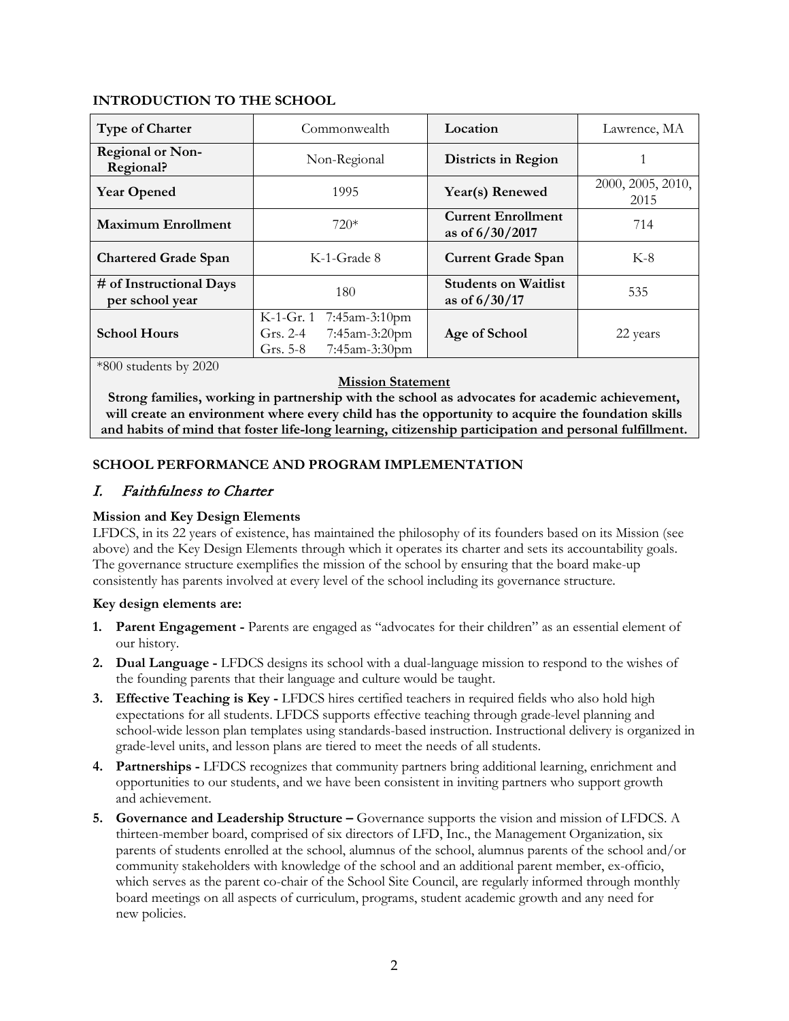# **INTRODUCTION TO THE SCHOOL**

| <b>Type of Charter</b>                     | Commonwealth                                                                             | Location                                       | Lawrence, MA              |
|--------------------------------------------|------------------------------------------------------------------------------------------|------------------------------------------------|---------------------------|
| <b>Regional or Non-</b><br>Regional?       | Non-Regional                                                                             | Districts in Region                            |                           |
| <b>Year Opened</b>                         | 1995                                                                                     | Year(s) Renewed                                | 2000, 2005, 2010,<br>2015 |
| <b>Maximum Enrollment</b>                  | $720*$                                                                                   | <b>Current Enrollment</b><br>as of 6/30/2017   | 714                       |
| <b>Chartered Grade Span</b>                | K-1-Grade 8                                                                              | <b>Current Grade Span</b>                      | $K-8$                     |
| # of Instructional Days<br>per school year | 180                                                                                      | <b>Students on Waitlist</b><br>as of $6/30/17$ | 535                       |
| <b>School Hours</b>                        | K-1-Gr. 1<br>7:45am-3:10pm<br>7:45am-3:20pm<br>Grs. $2-4$<br>7:45am-3:30pm<br>Grs. $5-8$ | Age of School                                  | 22 years                  |

\*800 students by 2020

#### **Mission Statement**

**Strong families, working in partnership with the school as advocates for academic achievement, will create an environment where every child has the opportunity to acquire the foundation skills and habits of mind that foster life-long learning, citizenship participation and personal fulfillment.**

# **SCHOOL PERFORMANCE AND PROGRAM IMPLEMENTATION**

# I. Faithfulness to Charter

# **Mission and Key Design Elements**

LFDCS, in its 22 years of existence, has maintained the philosophy of its founders based on its Mission (see above) and the Key Design Elements through which it operates its charter and sets its accountability goals. The governance structure exemplifies the mission of the school by ensuring that the board make-up consistently has parents involved at every level of the school including its governance structure.

# **Key design elements are:**

- **1. Parent Engagement -** Parents are engaged as "advocates for their children" as an essential element of our history.
- **2. Dual Language -** LFDCS designs its school with a dual-language mission to respond to the wishes of the founding parents that their language and culture would be taught.
- **3. Effective Teaching is Key -** LFDCS hires certified teachers in required fields who also hold high expectations for all students. LFDCS supports effective teaching through grade-level planning and school-wide lesson plan templates using standards-based instruction. Instructional delivery is organized in grade-level units, and lesson plans are tiered to meet the needs of all students.
- **4. Partnerships -** LFDCS recognizes that community partners bring additional learning, enrichment and opportunities to our students, and we have been consistent in inviting partners who support growth and achievement.
- **5. Governance and Leadership Structure –** Governance supports the vision and mission of LFDCS. A thirteen-member board, comprised of six directors of LFD, Inc., the Management Organization, six parents of students enrolled at the school, alumnus of the school, alumnus parents of the school and/or community stakeholders with knowledge of the school and an additional parent member, ex-officio, which serves as the parent co-chair of the School Site Council, are regularly informed through monthly board meetings on all aspects of curriculum, programs, student academic growth and any need for new policies.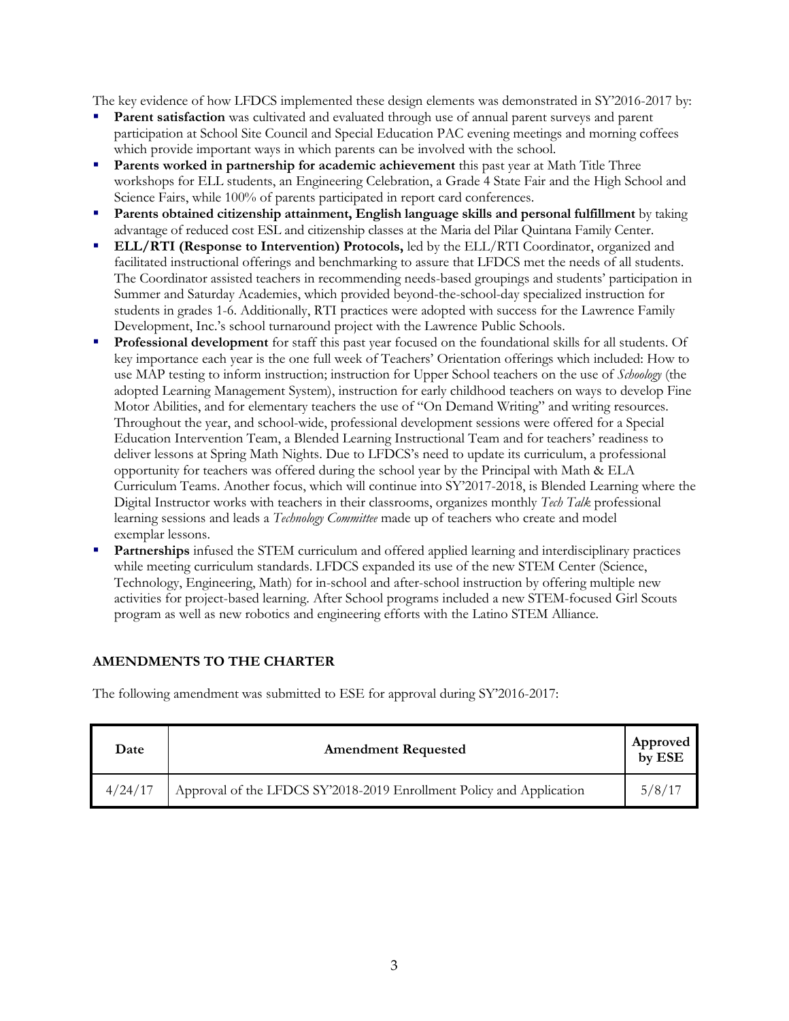The key evidence of how LFDCS implemented these design elements was demonstrated in SY'2016-2017 by:

- **Parent satisfaction** was cultivated and evaluated through use of annual parent surveys and parent participation at School Site Council and Special Education PAC evening meetings and morning coffees which provide important ways in which parents can be involved with the school.
- **Parents worked in partnership for academic achievement** this past year at Math Title Three workshops for ELL students, an Engineering Celebration, a Grade 4 State Fair and the High School and Science Fairs, while 100% of parents participated in report card conferences.
- **Parents obtained citizenship attainment, English language skills and personal fulfillment** by taking advantage of reduced cost ESL and citizenship classes at the Maria del Pilar Quintana Family Center.
- **ELL/RTI (Response to Intervention) Protocols,** led by the ELL/RTI Coordinator, organized and facilitated instructional offerings and benchmarking to assure that LFDCS met the needs of all students. The Coordinator assisted teachers in recommending needs-based groupings and students' participation in Summer and Saturday Academies, which provided beyond-the-school-day specialized instruction for students in grades 1-6. Additionally, RTI practices were adopted with success for the Lawrence Family Development, Inc.'s school turnaround project with the Lawrence Public Schools.
- **Professional development** for staff this past year focused on the foundational skills for all students. Of key importance each year is the one full week of Teachers' Orientation offerings which included: How to use MAP testing to inform instruction; instruction for Upper School teachers on the use of *Schoology* (the adopted Learning Management System), instruction for early childhood teachers on ways to develop Fine Motor Abilities, and for elementary teachers the use of "On Demand Writing" and writing resources. Throughout the year, and school-wide, professional development sessions were offered for a Special Education Intervention Team, a Blended Learning Instructional Team and for teachers' readiness to deliver lessons at Spring Math Nights. Due to LFDCS's need to update its curriculum, a professional opportunity for teachers was offered during the school year by the Principal with Math & ELA Curriculum Teams. Another focus, which will continue into SY'2017-2018, is Blended Learning where the Digital Instructor works with teachers in their classrooms, organizes monthly *Tech Talk* professional learning sessions and leads a *Technology Committee* made up of teachers who create and model exemplar lessons.
- **Partnerships** infused the STEM curriculum and offered applied learning and interdisciplinary practices while meeting curriculum standards. LFDCS expanded its use of the new STEM Center (Science, Technology, Engineering, Math) for in-school and after-school instruction by offering multiple new activities for project-based learning. After School programs included a new STEM-focused Girl Scouts program as well as new robotics and engineering efforts with the Latino STEM Alliance.

# **AMENDMENTS TO THE CHARTER**

The following amendment was submitted to ESE for approval during SY'2016-2017:

| Date    | <b>Amendment Requested</b>                                           | Approved<br>by ESE |
|---------|----------------------------------------------------------------------|--------------------|
| 4/24/17 | Approval of the LFDCS SY'2018-2019 Enrollment Policy and Application | 5/8/17             |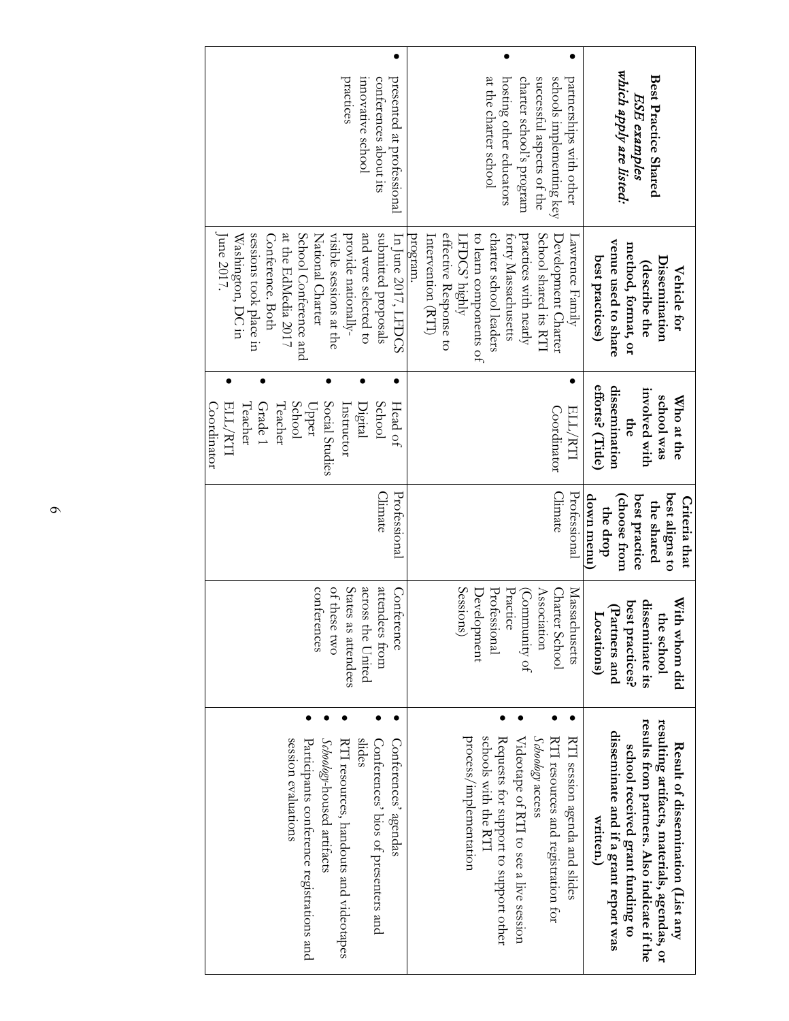| innovative school<br>conferences about its<br>practices<br>presented at professional                                                                                                                                                                                       | charter school's program<br>at the charter school<br>hosting other educators<br>successful aspects of the<br>schools implementing key<br>partnerships with other                                                                              | which apply are listed:<br>Best Practice Shared<br>ESE examples                                                                                                                                                           |
|----------------------------------------------------------------------------------------------------------------------------------------------------------------------------------------------------------------------------------------------------------------------------|-----------------------------------------------------------------------------------------------------------------------------------------------------------------------------------------------------------------------------------------------|---------------------------------------------------------------------------------------------------------------------------------------------------------------------------------------------------------------------------|
| sessions took place in<br>at the EdMedia 2017<br>School Conference and<br>and were selected to<br>submitted proposals<br>National Charter<br>visible sessions at the<br>provide nationally-<br>In June 2017, LFDCS<br>June $2017$<br>Conference. Both<br>Washington, DC in | effective Response to<br>charter school leaders<br>practices with nearly<br>School shared its RT<br>to learn components of<br>Intervention (RTI)<br>forty Massachusetts<br>program.<br>LFDCS' highly<br>Development Charter<br>awrence Family | venue used to share<br>method, format, or<br>best practices)<br>Dissemination<br>describe the<br>Vehicle for                                                                                                              |
| Teacher<br>School<br>Social Studies<br>School<br>ELL/RTI<br>Grade 1<br>Teacher<br>Coordinator<br>Instructor<br>Digital<br>Head of<br>Upper                                                                                                                                 | Coordinator<br>ELL/RTI                                                                                                                                                                                                                        | efforts? (Title)<br>dissemination<br>involved with<br>school was<br>Who at the<br>$\mathbf{m}$                                                                                                                            |
| Professional<br><b>Climate</b>                                                                                                                                                                                                                                             | Professional<br><b>Climate</b>                                                                                                                                                                                                                | best aligns to<br>down menu)<br>(choose from<br>best practice<br>Criteria that<br>the shared<br>the drop                                                                                                                  |
| of these two<br>States as attendees<br>conferences<br>attendees from<br>across the United<br>Conference                                                                                                                                                                    | Sessions)<br>Practice<br>Professional<br>Association<br>Massachusetts<br>(Community of<br>Development<br>Charter School                                                                                                                       | disseminate its<br>With<br>best practices?<br>(Partners and<br>the school<br>Locations)<br>whom did                                                                                                                       |
| Participants conference registrations and<br>shdes<br>session evaluations<br>Schoology-housed artifacts<br>RTI resources, handouts and videotapes<br>Conferences' bios of presenters and<br>Conferences' agendas                                                           | Schoology access<br>process/implementation<br>schools with the RTI<br>Requests for support to support other<br>Videotape of RTI to see a live session<br>RTI resources and registration for<br>RTI session agenda and slides                  | results from partners. Also indicate if the<br>resulting artifacts, materials, agendas, or<br>disseminate and if a grant report was<br>Result of dissemination (List any<br>school received grant funding to<br>written.) |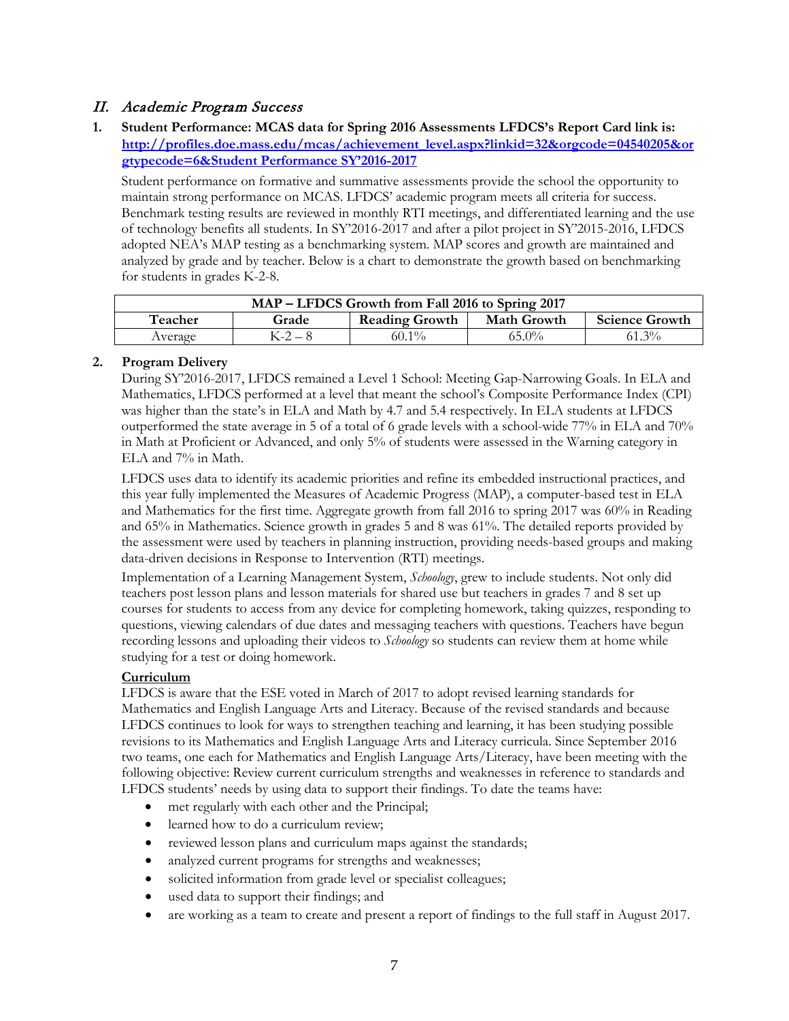# II. Academic Program Success

**1. Student Performance: MCAS data for Spring 2016 Assessments LFDCS's Report Card link is: [http://profiles.doe.mass.edu/mcas/achievement\\_level.aspx?linkid=32&orgcode=04540205&or](http://profiles.doe.mass.edu/mcas/achievement_level.aspx?linkid=32&orgcode=04540205&orgtypecode=6&Student%20Performance%20SY’2016-2017%20) [gtypecode=6&Student Performance](http://profiles.doe.mass.edu/mcas/achievement_level.aspx?linkid=32&orgcode=04540205&orgtypecode=6&Student%20Performance%20SY’2016-2017%20) SY'2016-2017**

Student performance on formative and summative assessments provide the school the opportunity to maintain strong performance on MCAS. LFDCS' academic program meets all criteria for success. Benchmark testing results are reviewed in monthly RTI meetings, and differentiated learning and the use of technology benefits all students. In SY'2016-2017 and after a pilot project in SY'2015-2016, LFDCS adopted NEA's MAP testing as a benchmarking system. MAP scores and growth are maintained and analyzed by grade and by teacher. Below is a chart to demonstrate the growth based on benchmarking for students in grades K-2-8.

|         |             | MAP – LFDCS Growth from Fall 2016 to Spring 2017 |                    |                       |
|---------|-------------|--------------------------------------------------|--------------------|-----------------------|
| Teacher | Grade       | <b>Reading Growth</b>                            | <b>Math Growth</b> | <b>Science Growth</b> |
| Average | $K - 2 - 8$ | $60.1\%$                                         | $65.0\%$           | $61.3\%$              |

# **2. Program Delivery**

During SY'2016-2017, LFDCS remained a Level 1 School: Meeting Gap-Narrowing Goals. In ELA and Mathematics, LFDCS performed at a level that meant the school's Composite Performance Index (CPI) was higher than the state's in ELA and Math by 4.7 and 5.4 respectively. In ELA students at LFDCS outperformed the state average in 5 of a total of 6 grade levels with a school-wide 77% in ELA and 70% in Math at Proficient or Advanced, and only 5% of students were assessed in the Warning category in ELA and 7% in Math.

LFDCS uses data to identify its academic priorities and refine its embedded instructional practices, and this year fully implemented the Measures of Academic Progress (MAP), a computer-based test in ELA and Mathematics for the first time. Aggregate growth from fall 2016 to spring 2017 was 60% in Reading and 65% in Mathematics. Science growth in grades 5 and 8 was 61%. The detailed reports provided by the assessment were used by teachers in planning instruction, providing needs-based groups and making data-driven decisions in Response to Intervention (RTI) meetings.

Implementation of a Learning Management System, *Schoology*, grew to include students. Not only did teachers post lesson plans and lesson materials for shared use but teachers in grades 7 and 8 set up courses for students to access from any device for completing homework, taking quizzes, responding to questions, viewing calendars of due dates and messaging teachers with questions. Teachers have begun recording lessons and uploading their videos to *Schoology* so students can review them at home while studying for a test or doing homework.

# **Curriculum**

LFDCS is aware that the ESE voted in March of 2017 to adopt revised learning standards for Mathematics and English Language Arts and Literacy. Because of the revised standards and because LFDCS continues to look for ways to strengthen teaching and learning, it has been studying possible revisions to its Mathematics and English Language Arts and Literacy curricula. Since September 2016 two teams, one each for Mathematics and English Language Arts/Literacy, have been meeting with the following objective: Review current curriculum strengths and weaknesses in reference to standards and LFDCS students' needs by using data to support their findings. To date the teams have:

- met regularly with each other and the Principal;
- learned how to do a curriculum review;
- reviewed lesson plans and curriculum maps against the standards;
- analyzed current programs for strengths and weaknesses;
- solicited information from grade level or specialist colleagues;
- used data to support their findings; and
- are working as a team to create and present a report of findings to the full staff in August 2017.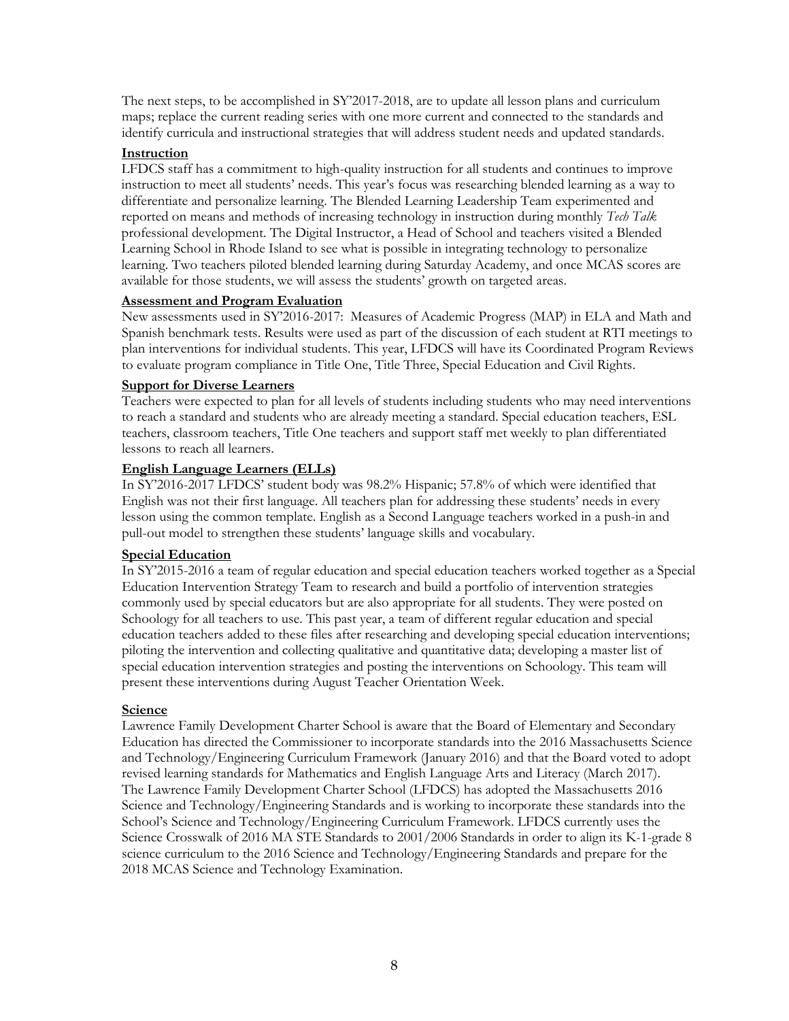The next steps, to be accomplished in SY'2017-2018, are to update all lesson plans and curriculum maps; replace the current reading series with one more current and connected to the standards and identify curricula and instructional strategies that will address student needs and updated standards.

#### **Instruction**

LFDCS staff has a commitment to high-quality instruction for all students and continues to improve instruction to meet all students' needs. This year's focus was researching blended learning as a way to differentiate and personalize learning. The Blended Learning Leadership Team experimented and reported on means and methods of increasing technology in instruction during monthly *Tech Talk* professional development. The Digital Instructor, a Head of School and teachers visited a Blended Learning School in Rhode Island to see what is possible in integrating technology to personalize learning. Two teachers piloted blended learning during Saturday Academy, and once MCAS scores are available for those students, we will assess the students' growth on targeted areas.

# **Assessment and Program Evaluation**

New assessments used in SY'2016-2017: Measures of Academic Progress (MAP) in ELA and Math and Spanish benchmark tests. Results were used as part of the discussion of each student at RTI meetings to plan interventions for individual students. This year, LFDCS will have its Coordinated Program Reviews to evaluate program compliance in Title One, Title Three, Special Education and Civil Rights.

# **Support for Diverse Learners**

Teachers were expected to plan for all levels of students including students who may need interventions to reach a standard and students who are already meeting a standard. Special education teachers, ESL teachers, classroom teachers, Title One teachers and support staff met weekly to plan differentiated lessons to reach all learners.

#### **English Language Learners (ELLs)**

In SY'2016-2017 LFDCS' student body was 98.2% Hispanic; 57.8% of which were identified that English was not their first language. All teachers plan for addressing these students' needs in every lesson using the common template. English as a Second Language teachers worked in a push-in and pull-out model to strengthen these students' language skills and vocabulary.

#### **Special Education**

In SY'2015-2016 a team of regular education and special education teachers worked together as a Special Education Intervention Strategy Team to research and build a portfolio of intervention strategies commonly used by special educators but are also appropriate for all students. They were posted on Schoology for all teachers to use. This past year, a team of different regular education and special education teachers added to these files after researching and developing special education interventions; piloting the intervention and collecting qualitative and quantitative data; developing a master list of special education intervention strategies and posting the interventions on Schoology. This team will present these interventions during August Teacher Orientation Week.

#### **Science**

Lawrence Family Development Charter School is aware that the Board of Elementary and Secondary Education has directed the Commissioner to incorporate standards into the 2016 Massachusetts Science and Technology/Engineering Curriculum Framework (January 2016) and that the Board voted to adopt revised learning standards for Mathematics and English Language Arts and Literacy (March 2017). The Lawrence Family Development Charter School (LFDCS) has adopted the Massachusetts 2016 Science and Technology/Engineering Standards and is working to incorporate these standards into the School's Science and Technology/Engineering Curriculum Framework. LFDCS currently uses the Science Crosswalk of 2016 MA STE Standards to 2001/2006 Standards in order to align its K-1-grade 8 science curriculum to the 2016 Science and Technology/Engineering Standards and prepare for the 2018 MCAS Science and Technology Examination.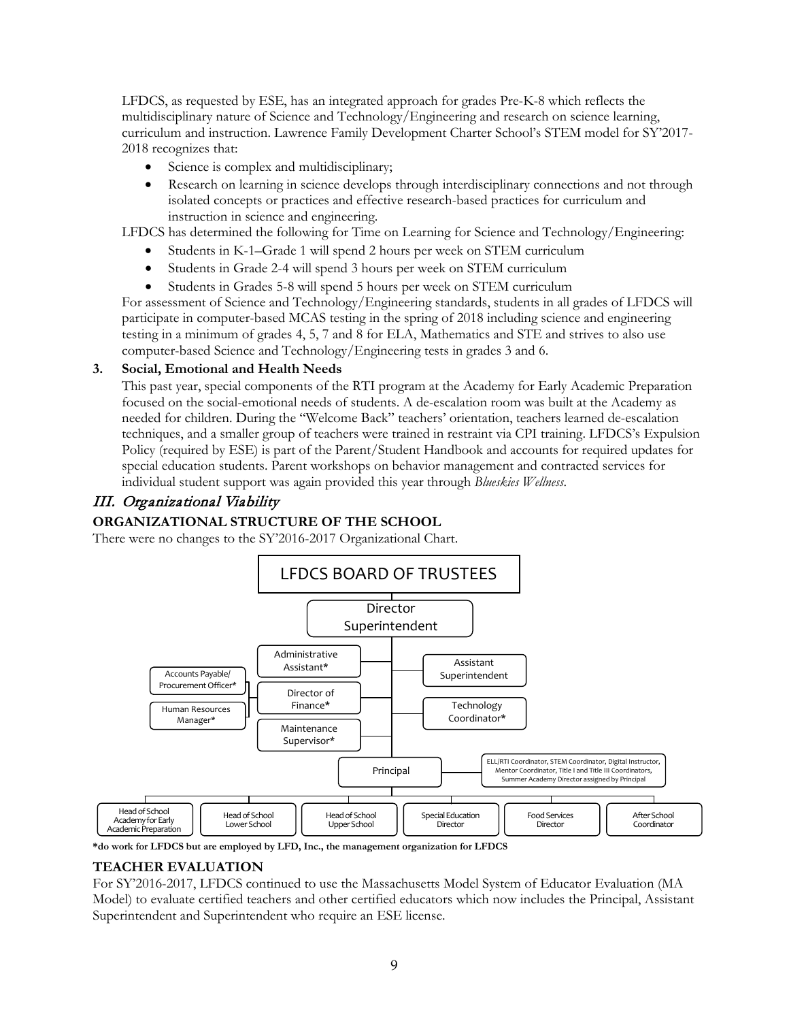LFDCS, as requested by ESE, has an integrated approach for grades Pre-K-8 which reflects the multidisciplinary nature of Science and Technology/Engineering and research on science learning, curriculum and instruction. Lawrence Family Development Charter School's STEM model for SY'2017- 2018 recognizes that:

- Science is complex and multidisciplinary;
- Research on learning in science develops through interdisciplinary connections and not through isolated concepts or practices and effective research-based practices for curriculum and instruction in science and engineering.

LFDCS has determined the following for Time on Learning for Science and Technology/Engineering:

- Students in K-1–Grade 1 will spend 2 hours per week on STEM curriculum
- Students in Grade 2-4 will spend 3 hours per week on STEM curriculum
- Students in Grades 5-8 will spend 5 hours per week on STEM curriculum

For assessment of Science and Technology/Engineering standards, students in all grades of LFDCS will participate in computer-based MCAS testing in the spring of 2018 including science and engineering testing in a minimum of grades 4, 5, 7 and 8 for ELA, Mathematics and STE and strives to also use computer-based Science and Technology/Engineering tests in grades 3 and 6.

# **3. Social, Emotional and Health Needs**

This past year, special components of the RTI program at the Academy for Early Academic Preparation focused on the social-emotional needs of students. A de-escalation room was built at the Academy as needed for children. During the "Welcome Back" teachers' orientation, teachers learned de-escalation techniques, and a smaller group of teachers were trained in restraint via CPI training. LFDCS's Expulsion Policy (required by ESE) is part of the Parent/Student Handbook and accounts for required updates for special education students. Parent workshops on behavior management and contracted services for individual student support was again provided this year through *Blueskies Wellness*.

# III. Organizational Viability

# **ORGANIZATIONAL STRUCTURE OF THE SCHOOL**

There were no changes to the SY'2016-2017 Organizational Chart.



**\*do work for LFDCS but are employed by LFD, Inc., the management organization for LFDCS**

# **TEACHER EVALUATION**

For SY'2016-2017, LFDCS continued to use the Massachusetts Model System of Educator Evaluation (MA Model) to evaluate certified teachers and other certified educators which now includes the Principal, Assistant Superintendent and Superintendent who require an ESE license.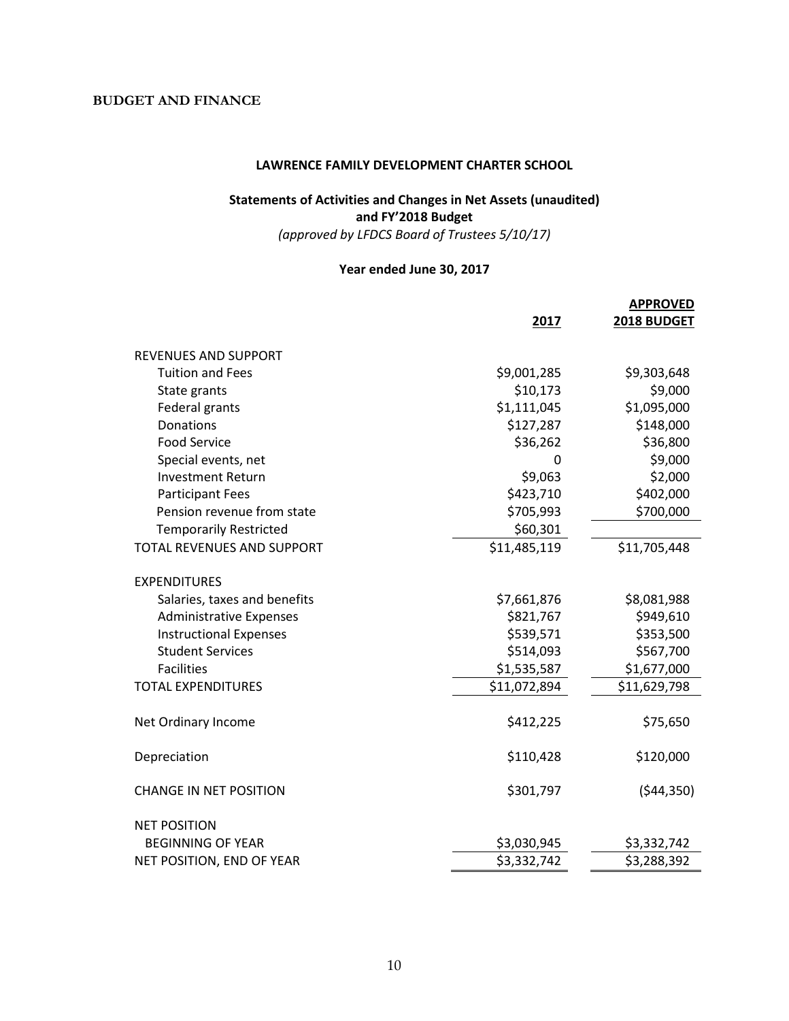# **BUDGET AND FINANCE**

#### **LAWRENCE FAMILY DEVELOPMENT CHARTER SCHOOL**

# **Statements of Activities and Changes in Net Assets (unaudited) and FY'2018 Budget**

*(approved by LFDCS Board of Trustees 5/10/17)*

#### **Year ended June 30, 2017**

|                                   |              | <b>APPROVED</b> |
|-----------------------------------|--------------|-----------------|
|                                   | 2017         | 2018 BUDGET     |
| <b>REVENUES AND SUPPORT</b>       |              |                 |
| <b>Tuition and Fees</b>           | \$9,001,285  | \$9,303,648     |
| State grants                      | \$10,173     | \$9,000         |
| Federal grants                    | \$1,111,045  | \$1,095,000     |
| <b>Donations</b>                  | \$127,287    | \$148,000       |
| <b>Food Service</b>               | \$36,262     | \$36,800        |
| Special events, net               | 0            | \$9,000         |
| <b>Investment Return</b>          | \$9,063      | \$2,000         |
| <b>Participant Fees</b>           | \$423,710    | \$402,000       |
| Pension revenue from state        | \$705,993    | \$700,000       |
| <b>Temporarily Restricted</b>     | \$60,301     |                 |
| <b>TOTAL REVENUES AND SUPPORT</b> | \$11,485,119 | \$11,705,448    |
| <b>EXPENDITURES</b>               |              |                 |
| Salaries, taxes and benefits      | \$7,661,876  | \$8,081,988     |
| <b>Administrative Expenses</b>    | \$821,767    | \$949,610       |
| <b>Instructional Expenses</b>     | \$539,571    | \$353,500       |
| <b>Student Services</b>           | \$514,093    | \$567,700       |
| <b>Facilities</b>                 | \$1,535,587  | \$1,677,000     |
| <b>TOTAL EXPENDITURES</b>         | \$11,072,894 | \$11,629,798    |
| Net Ordinary Income               | \$412,225    | \$75,650        |
| Depreciation                      | \$110,428    | \$120,000       |
| <b>CHANGE IN NET POSITION</b>     | \$301,797    | (544, 350)      |
| <b>NET POSITION</b>               |              |                 |
| <b>BEGINNING OF YEAR</b>          | \$3,030,945  | \$3,332,742     |
| NET POSITION, END OF YEAR         | \$3,332,742  | \$3,288,392     |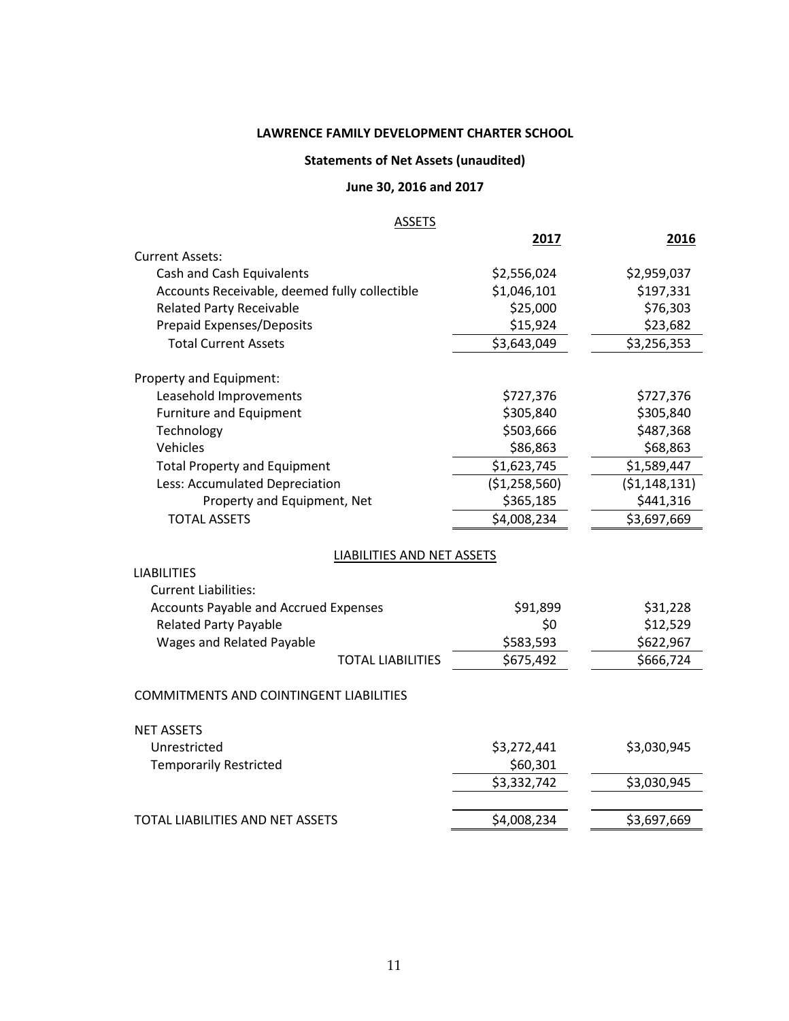# **LAWRENCE FAMILY DEVELOPMENT CHARTER SCHOOL**

# **Statements of Net Assets (unaudited)**

# **June 30, 2016 and 2017**

# **ASSETS**

|                                                |                                   | 2017          | 2016           |
|------------------------------------------------|-----------------------------------|---------------|----------------|
| <b>Current Assets:</b>                         |                                   |               |                |
| Cash and Cash Equivalents                      |                                   | \$2,556,024   | \$2,959,037    |
| Accounts Receivable, deemed fully collectible  |                                   | \$1,046,101   | \$197,331      |
| <b>Related Party Receivable</b>                |                                   | \$25,000      | \$76,303       |
| Prepaid Expenses/Deposits                      |                                   | \$15,924      | \$23,682       |
| <b>Total Current Assets</b>                    |                                   | \$3,643,049   | \$3,256,353    |
| Property and Equipment:                        |                                   |               |                |
| Leasehold Improvements                         |                                   | \$727,376     | \$727,376      |
| <b>Furniture and Equipment</b>                 |                                   | \$305,840     | \$305,840      |
| Technology                                     |                                   | \$503,666     | \$487,368      |
| Vehicles                                       |                                   | \$86,863      | \$68,863       |
| <b>Total Property and Equipment</b>            |                                   | \$1,623,745   | \$1,589,447    |
| Less: Accumulated Depreciation                 |                                   | (\$1,258,560) | (51, 148, 131) |
| Property and Equipment, Net                    |                                   | \$365,185     | \$441,316      |
| <b>TOTAL ASSETS</b>                            |                                   | \$4,008,234   | \$3,697,669    |
|                                                | <b>LIABILITIES AND NET ASSETS</b> |               |                |
| <b>LIABILITIES</b>                             |                                   |               |                |
| <b>Current Liabilities:</b>                    |                                   |               |                |
| <b>Accounts Payable and Accrued Expenses</b>   |                                   | \$91,899      | \$31,228       |
| <b>Related Party Payable</b>                   |                                   | \$0           | \$12,529       |
| Wages and Related Payable                      |                                   | \$583,593     | \$622,967      |
|                                                | <b>TOTAL LIABILITIES</b>          | \$675,492     | \$666,724      |
| <b>COMMITMENTS AND COINTINGENT LIABILITIES</b> |                                   |               |                |
|                                                |                                   |               |                |
| <b>NET ASSETS</b>                              |                                   |               |                |
| Unrestricted                                   |                                   | \$3,272,441   | \$3,030,945    |
| <b>Temporarily Restricted</b>                  |                                   | \$60,301      |                |
|                                                |                                   | \$3,332,742   | \$3,030,945    |
|                                                |                                   |               |                |
| TOTAL LIABILITIES AND NET ASSETS               |                                   | \$4,008,234   | \$3,697,669    |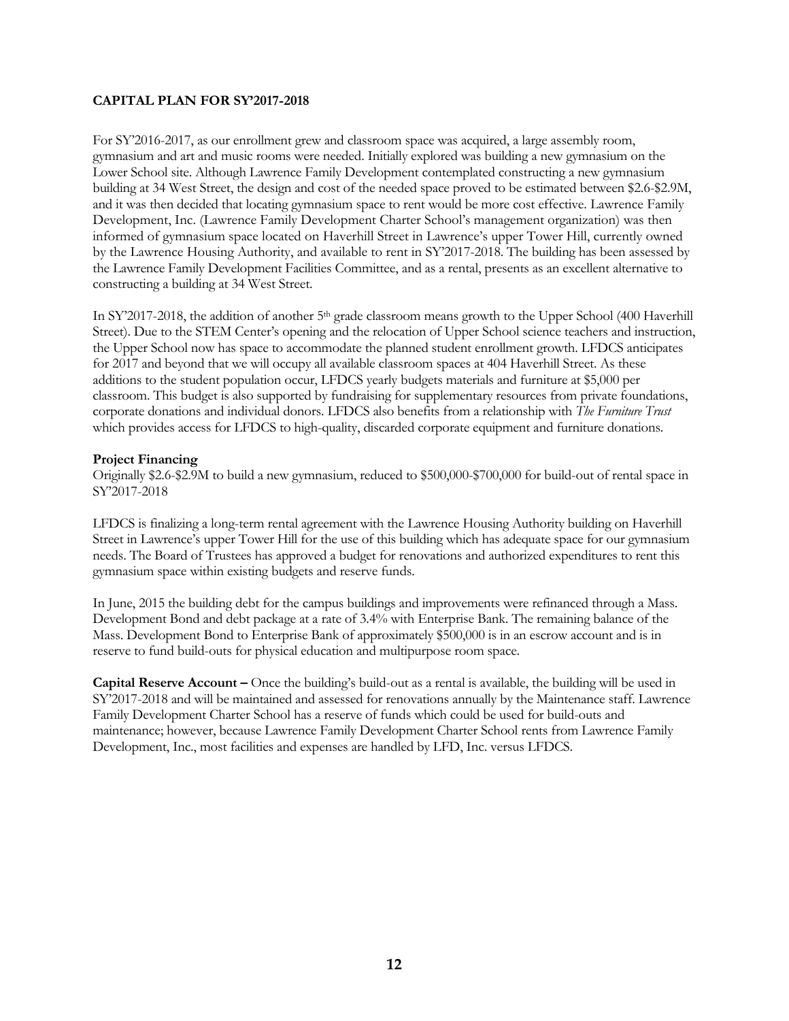#### **CAPITAL PLAN FOR SY'2017-2018**

For SY'2016-2017, as our enrollment grew and classroom space was acquired, a large assembly room, gymnasium and art and music rooms were needed. Initially explored was building a new gymnasium on the Lower School site. Although Lawrence Family Development contemplated constructing a new gymnasium building at 34 West Street, the design and cost of the needed space proved to be estimated between \$2.6-\$2.9M, and it was then decided that locating gymnasium space to rent would be more cost effective. Lawrence Family Development, Inc. (Lawrence Family Development Charter School's management organization) was then informed of gymnasium space located on Haverhill Street in Lawrence's upper Tower Hill, currently owned by the Lawrence Housing Authority, and available to rent in SY'2017-2018. The building has been assessed by the Lawrence Family Development Facilities Committee, and as a rental, presents as an excellent alternative to constructing a building at 34 West Street.

In SY'2017-2018, the addition of another 5<sup>th</sup> grade classroom means growth to the Upper School (400 Haverhill Street). Due to the STEM Center's opening and the relocation of Upper School science teachers and instruction, the Upper School now has space to accommodate the planned student enrollment growth. LFDCS anticipates for 2017 and beyond that we will occupy all available classroom spaces at 404 Haverhill Street. As these additions to the student population occur, LFDCS yearly budgets materials and furniture at \$5,000 per classroom. This budget is also supported by fundraising for supplementary resources from private foundations, corporate donations and individual donors. LFDCS also benefits from a relationship with *The Furniture Trust* which provides access for LFDCS to high-quality, discarded corporate equipment and furniture donations*.* 

#### **Project Financing**

Originally \$2.6-\$2.9M to build a new gymnasium, reduced to \$500,000-\$700,000 for build-out of rental space in SY'2017-2018

LFDCS is finalizing a long-term rental agreement with the Lawrence Housing Authority building on Haverhill Street in Lawrence's upper Tower Hill for the use of this building which has adequate space for our gymnasium needs. The Board of Trustees has approved a budget for renovations and authorized expenditures to rent this gymnasium space within existing budgets and reserve funds.

In June, 2015 the building debt for the campus buildings and improvements were refinanced through a Mass. Development Bond and debt package at a rate of 3.4% with Enterprise Bank. The remaining balance of the Mass. Development Bond to Enterprise Bank of approximately \$500,000 is in an escrow account and is in reserve to fund build-outs for physical education and multipurpose room space.

**Capital Reserve Account –** Once the building's build-out as a rental is available, the building will be used in SY'2017-2018 and will be maintained and assessed for renovations annually by the Maintenance staff. Lawrence Family Development Charter School has a reserve of funds which could be used for build-outs and maintenance; however, because Lawrence Family Development Charter School rents from Lawrence Family Development, Inc., most facilities and expenses are handled by LFD, Inc. versus LFDCS.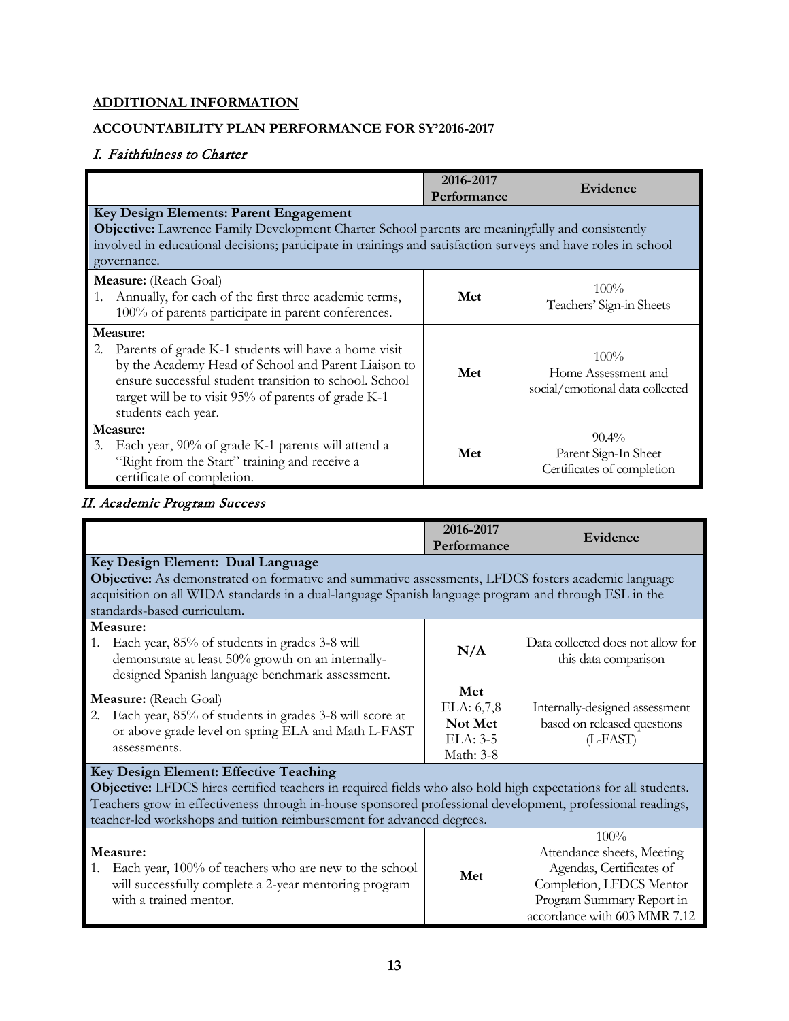# **ADDITIONAL INFORMATION**

# **ACCOUNTABILITY PLAN PERFORMANCE FOR SY'2016-2017**

# I. Faithfulness to Charter

|                                                                                                                                                                                                                                                                           | 2016-2017<br>Performance | Evidence                                                          |
|---------------------------------------------------------------------------------------------------------------------------------------------------------------------------------------------------------------------------------------------------------------------------|--------------------------|-------------------------------------------------------------------|
| Key Design Elements: Parent Engagement<br>Objective: Lawrence Family Development Charter School parents are meaningfully and consistently<br>involved in educational decisions; participate in trainings and satisfaction surveys and have roles in school<br>governance. |                          |                                                                   |
| Measure: (Reach Goal)<br>1. Annually, for each of the first three academic terms,<br>100% of parents participate in parent conferences.                                                                                                                                   | Met                      | $100\%$<br>Teachers' Sign-in Sheets                               |
| Measure:<br>2. Parents of grade K-1 students will have a home visit<br>by the Academy Head of School and Parent Liaison to<br>ensure successful student transition to school. School<br>target will be to visit 95% of parents of grade K-1<br>students each year.        | Met                      | $100\%$<br>Home Assessment and<br>social/emotional data collected |
| Measure:<br>Each year, 90% of grade K-1 parents will attend a<br>3.<br>"Right from the Start" training and receive a<br>certificate of completion.                                                                                                                        | Met                      | $90.4\%$<br>Parent Sign-In Sheet<br>Certificates of completion    |

# II. Academic Program Success

|                                                                                                                                                                                                                                                                                                                                                 | 2016-2017<br>Performance                              | Evidence                                                                                                                                                |
|-------------------------------------------------------------------------------------------------------------------------------------------------------------------------------------------------------------------------------------------------------------------------------------------------------------------------------------------------|-------------------------------------------------------|---------------------------------------------------------------------------------------------------------------------------------------------------------|
| Key Design Element: Dual Language<br><b>Objective:</b> As demonstrated on formative and summative assessments, LFDCS fosters academic language<br>acquisition on all WIDA standards in a dual-language Spanish language program and through ESL in the<br>standards-based curriculum.                                                           |                                                       |                                                                                                                                                         |
| Measure:<br>Each year, 85% of students in grades 3-8 will<br>1.<br>demonstrate at least 50% growth on an internally-<br>designed Spanish language benchmark assessment.                                                                                                                                                                         | N/A                                                   | Data collected does not allow for<br>this data comparison                                                                                               |
| <b>Measure:</b> (Reach Goal)<br>Each year, 85% of students in grades 3-8 will score at<br>2.<br>or above grade level on spring ELA and Math L-FAST<br>assessments.                                                                                                                                                                              | Met<br>ELA: 6,7,8<br>Not Met<br>ELA: 3-5<br>Math: 3-8 | Internally-designed assessment<br>based on released questions<br>$(L$ -FAST $)$                                                                         |
| Key Design Element: Effective Teaching<br>Objective: LFDCS hires certified teachers in required fields who also hold high expectations for all students.<br>Teachers grow in effectiveness through in-house sponsored professional development, professional readings,<br>teacher-led workshops and tuition reimbursement for advanced degrees. |                                                       |                                                                                                                                                         |
| Measure:<br>Each year, 100% of teachers who are new to the school<br>1.<br>will successfully complete a 2-year mentoring program<br>with a trained mentor.                                                                                                                                                                                      | Met                                                   | 100%<br>Attendance sheets, Meeting<br>Agendas, Certificates of<br>Completion, LFDCS Mentor<br>Program Summary Report in<br>accordance with 603 MMR 7.12 |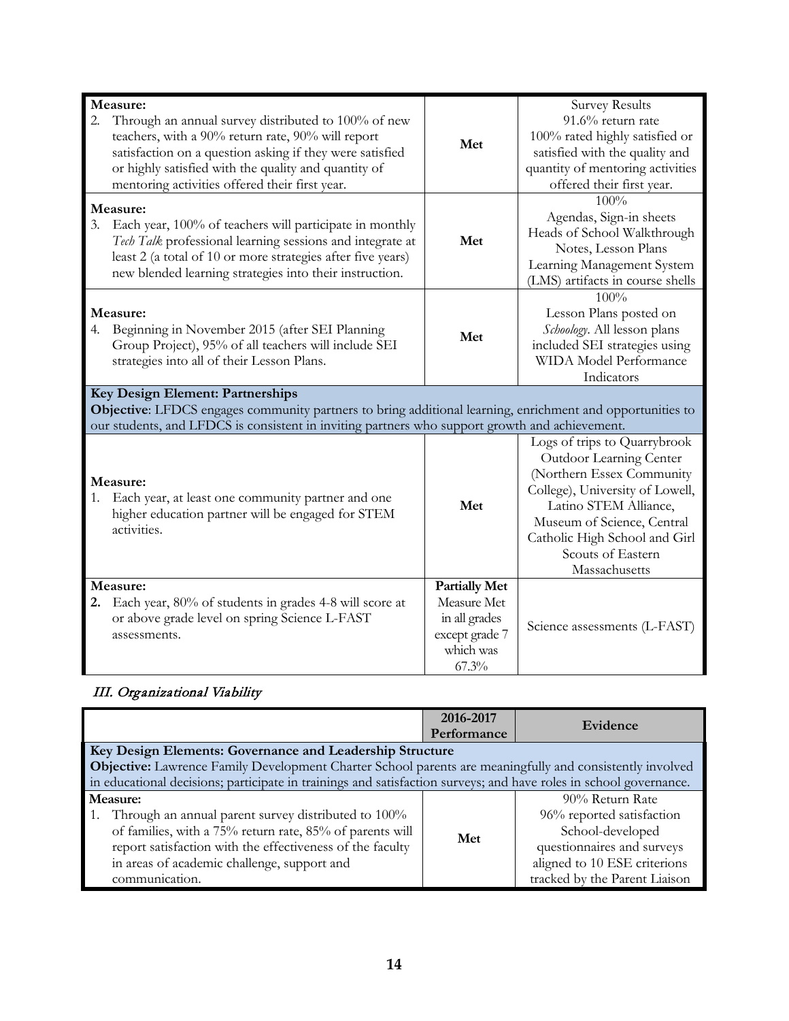| Measure:                                                                                                  |                      | <b>Survey Results</b>            |
|-----------------------------------------------------------------------------------------------------------|----------------------|----------------------------------|
| 2.<br>Through an annual survey distributed to 100% of new                                                 |                      | 91.6% return rate                |
| teachers, with a 90% return rate, 90% will report                                                         | Met                  | 100% rated highly satisfied or   |
| satisfaction on a question asking if they were satisfied                                                  |                      | satisfied with the quality and   |
| or highly satisfied with the quality and quantity of                                                      |                      | quantity of mentoring activities |
| mentoring activities offered their first year.                                                            |                      | offered their first year.        |
| Measure:                                                                                                  |                      | 100%                             |
| 3.<br>Each year, 100% of teachers will participate in monthly                                             |                      | Agendas, Sign-in sheets          |
| Tech Talk professional learning sessions and integrate at                                                 | Met                  | Heads of School Walkthrough      |
| least 2 (a total of 10 or more strategies after five years)                                               |                      | Notes, Lesson Plans              |
| new blended learning strategies into their instruction.                                                   |                      | Learning Management System       |
|                                                                                                           |                      | (LMS) artifacts in course shells |
|                                                                                                           |                      | 100%                             |
| Measure:                                                                                                  |                      | Lesson Plans posted on           |
| Beginning in November 2015 (after SEI Planning<br>4.                                                      | Met                  | Schoology. All lesson plans      |
| Group Project), 95% of all teachers will include SEI                                                      |                      | included SEI strategies using    |
| strategies into all of their Lesson Plans.                                                                |                      | WIDA Model Performance           |
|                                                                                                           |                      | Indicators                       |
|                                                                                                           |                      |                                  |
| Key Design Element: Partnerships                                                                          |                      |                                  |
| Objective: LFDCS engages community partners to bring additional learning, enrichment and opportunities to |                      |                                  |
| our students, and LFDCS is consistent in inviting partners who support growth and achievement.            |                      |                                  |
|                                                                                                           |                      | Logs of trips to Quarrybrook     |
|                                                                                                           |                      | Outdoor Learning Center          |
|                                                                                                           |                      | (Northern Essex Community        |
| Measure:                                                                                                  |                      | College), University of Lowell,  |
| Each year, at least one community partner and one                                                         | Met                  | Latino STEM Alliance,            |
| higher education partner will be engaged for STEM                                                         |                      | Museum of Science, Central       |
| activities.                                                                                               |                      | Catholic High School and Girl    |
|                                                                                                           |                      | Scouts of Eastern                |
|                                                                                                           |                      | Massachusetts                    |
| Measure:                                                                                                  | <b>Partially Met</b> |                                  |
| 2. Each year, 80% of students in grades 4-8 will score at                                                 | Measure Met          |                                  |
| or above grade level on spring Science L-FAST                                                             | in all grades        |                                  |
| assessments.                                                                                              | except grade 7       | Science assessments (L-FAST)     |
|                                                                                                           | which was            |                                  |

# III. Organizational Viability

|                                                                                                                   | 2016-2017<br>Performance | Evidence                      |  |
|-------------------------------------------------------------------------------------------------------------------|--------------------------|-------------------------------|--|
| Key Design Elements: Governance and Leadership Structure                                                          |                          |                               |  |
| <b>Objective:</b> Lawrence Family Development Charter School parents are meaningfully and consistently involved   |                          |                               |  |
| in educational decisions; participate in trainings and satisfaction surveys; and have roles in school governance. |                          |                               |  |
| Measure:                                                                                                          |                          | 90% Return Rate               |  |
| 1. Through an annual parent survey distributed to 100%                                                            |                          | 96% reported satisfaction     |  |
| of families, with a 75% return rate, 85% of parents will                                                          | Met                      | School-developed              |  |
| report satisfaction with the effectiveness of the faculty                                                         |                          | questionnaires and surveys    |  |
| in areas of academic challenge, support and                                                                       |                          | aligned to 10 ESE criterions  |  |
| communication.                                                                                                    |                          | tracked by the Parent Liaison |  |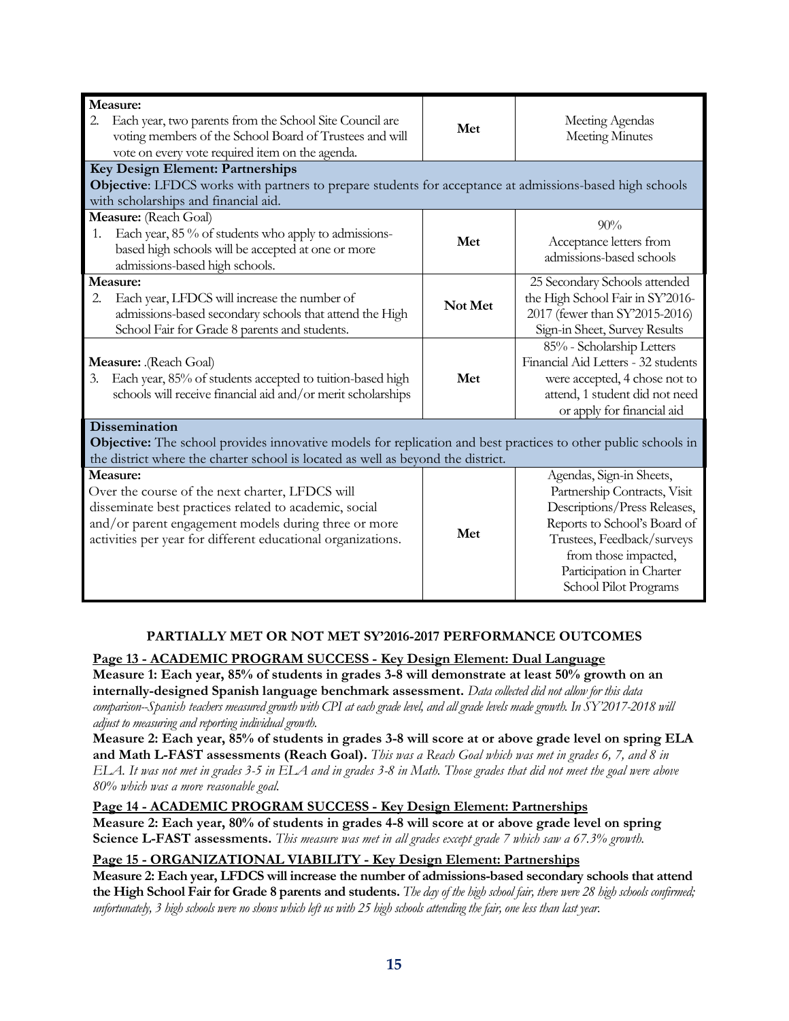| Measure:                                                                                                                                                |         |                                     |
|---------------------------------------------------------------------------------------------------------------------------------------------------------|---------|-------------------------------------|
| Each year, two parents from the School Site Council are<br>2.                                                                                           | Met     | Meeting Agendas                     |
| voting members of the School Board of Trustees and will                                                                                                 |         | <b>Meeting Minutes</b>              |
| vote on every vote required item on the agenda.                                                                                                         |         |                                     |
| Key Design Element: Partnerships                                                                                                                        |         |                                     |
| <b>Objective:</b> LFDCS works with partners to prepare students for acceptance at admissions-based high schools<br>with scholarships and financial aid. |         |                                     |
| Measure: (Reach Goal)                                                                                                                                   |         |                                     |
|                                                                                                                                                         |         | 90%                                 |
| Each year, 85 % of students who apply to admissions-<br>1.<br>based high schools will be accepted at one or more                                        | Met     | Acceptance letters from             |
| admissions-based high schools.                                                                                                                          |         | admissions-based schools            |
| Measure:                                                                                                                                                |         | 25 Secondary Schools attended       |
| Each year, LFDCS will increase the number of<br>2.                                                                                                      |         | the High School Fair in SY'2016-    |
| admissions-based secondary schools that attend the High                                                                                                 | Not Met | 2017 (fewer than SY'2015-2016)      |
| School Fair for Grade 8 parents and students.                                                                                                           |         | Sign-in Sheet, Survey Results       |
|                                                                                                                                                         |         | 85% - Scholarship Letters           |
| Measure: .(Reach Goal)                                                                                                                                  |         | Financial Aid Letters - 32 students |
| Each year, 85% of students accepted to tuition-based high<br>3.                                                                                         | Met     | were accepted, 4 chose not to       |
| schools will receive financial aid and/or merit scholarships                                                                                            |         | attend, 1 student did not need      |
|                                                                                                                                                         |         | or apply for financial aid          |
| <b>Dissemination</b>                                                                                                                                    |         |                                     |
| <b>Objective:</b> The school provides innovative models for replication and best practices to other public schools in                                   |         |                                     |
| the district where the charter school is located as well as beyond the district.                                                                        |         |                                     |
| Measure:                                                                                                                                                |         | Agendas, Sign-in Sheets,            |
| Over the course of the next charter, LFDCS will                                                                                                         |         | Partnership Contracts, Visit        |
| disseminate best practices related to academic, social                                                                                                  |         | Descriptions/Press Releases,        |
| and/or parent engagement models during three or more                                                                                                    | Met     | Reports to School's Board of        |
| activities per year for different educational organizations.                                                                                            |         | Trustees, Feedback/surveys          |
|                                                                                                                                                         |         | from those impacted,                |
|                                                                                                                                                         |         | Participation in Charter            |
|                                                                                                                                                         |         | School Pilot Programs               |

# **PARTIALLY MET OR NOT MET SY'2016-2017 PERFORMANCE OUTCOMES**

**Page 13 - ACADEMIC PROGRAM SUCCESS - Key Design Element: Dual Language Measure 1: Each year, 85% of students in grades 3-8 will demonstrate at least 50% growth on an internally-designed Spanish language benchmark assessment.** *Data collected did not allow for this data comparison--Spanish teachers measured growth with CPI at each grade level, and all grade levels made growth. In SY'2017-2018 will adjust to measuring and reporting individual growth.*

**Measure 2: Each year, 85% of students in grades 3-8 will score at or above grade level on spring ELA and Math L-FAST assessments (Reach Goal).** *This was a Reach Goal which was met in grades 6, 7, and 8 in ELA. It was not met in grades 3-5 in ELA and in grades 3-8 in Math. Those grades that did not meet the goal were above 80% which was a more reasonable goal.*

 **Page 14 - ACADEMIC PROGRAM SUCCESS - Key Design Element: Partnerships Measure 2: Each year, 80% of students in grades 4-8 will score at or above grade level on spring Science L-FAST assessments.** *This measure was met in all grades except grade 7 which saw a 67.3% growth.*

# **Page 15 - ORGANIZATIONAL VIABILITY - Key Design Element: Partnerships**

**Measure 2: Each year, LFDCS will increase the number of admissions-based secondary schools that attend the High School Fair for Grade 8 parents and students.** *The day of the high school fair, there were 28 high schools confirmed; unfortunately, 3 high schools were no shows which left us with 25 high schools attending the fair, one less than last year.*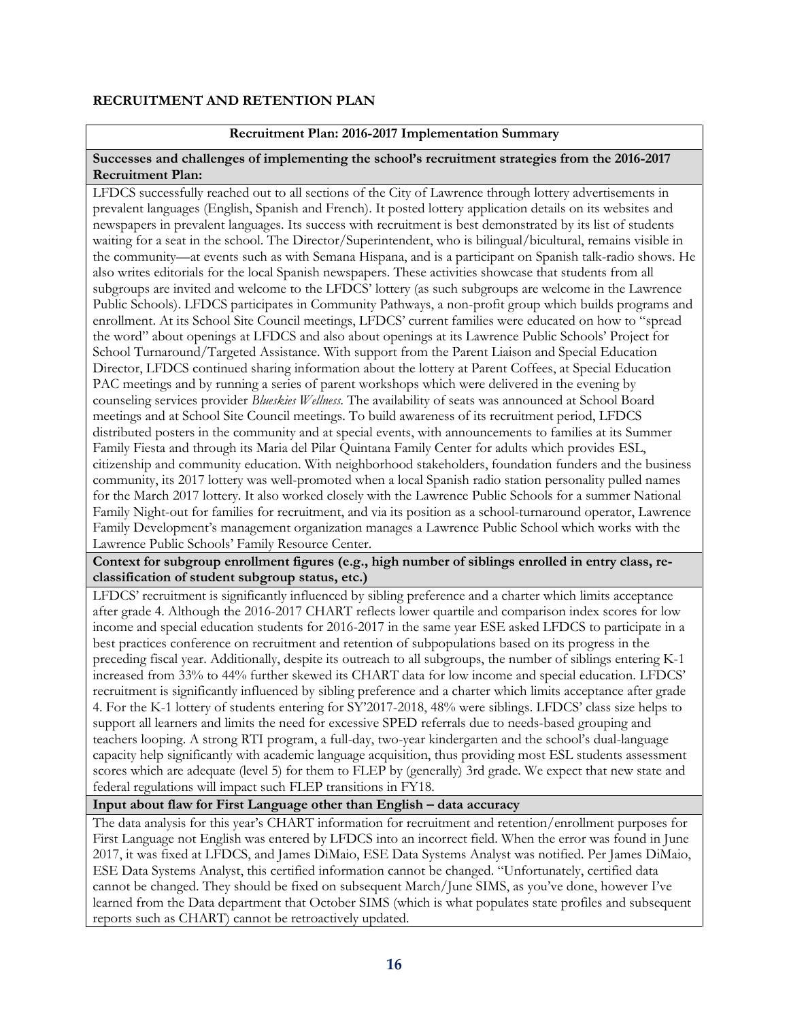# **RECRUITMENT AND RETENTION PLAN**

# **Recruitment Plan: 2016-2017 Implementation Summary**

#### **Successes and challenges of implementing the school's recruitment strategies from the 2016-2017 Recruitment Plan:**

LFDCS successfully reached out to all sections of the City of Lawrence through lottery advertisements in prevalent languages (English, Spanish and French). It posted lottery application details on its websites and newspapers in prevalent languages. Its success with recruitment is best demonstrated by its list of students waiting for a seat in the school. The Director/Superintendent, who is bilingual/bicultural, remains visible in the community—at events such as with Semana Hispana, and is a participant on Spanish talk-radio shows. He also writes editorials for the local Spanish newspapers. These activities showcase that students from all subgroups are invited and welcome to the LFDCS' lottery (as such subgroups are welcome in the Lawrence Public Schools). LFDCS participates in Community Pathways, a non-profit group which builds programs and enrollment. At its School Site Council meetings, LFDCS' current families were educated on how to "spread the word" about openings at LFDCS and also about openings at its Lawrence Public Schools' Project for School Turnaround/Targeted Assistance. With support from the Parent Liaison and Special Education Director, LFDCS continued sharing information about the lottery at Parent Coffees, at Special Education PAC meetings and by running a series of parent workshops which were delivered in the evening by counseling services provider *Blueskies Wellness.* The availability of seats was announced at School Board meetings and at School Site Council meetings. To build awareness of its recruitment period, LFDCS distributed posters in the community and at special events, with announcements to families at its Summer Family Fiesta and through its Maria del Pilar Quintana Family Center for adults which provides ESL, citizenship and community education. With neighborhood stakeholders, foundation funders and the business community, its 2017 lottery was well-promoted when a local Spanish radio station personality pulled names for the March 2017 lottery. It also worked closely with the Lawrence Public Schools for a summer National Family Night-out for families for recruitment, and via its position as a school-turnaround operator, Lawrence Family Development's management organization manages a Lawrence Public School which works with the Lawrence Public Schools' Family Resource Center.

# **Context for subgroup enrollment figures (e.g., high number of siblings enrolled in entry class, reclassification of student subgroup status, etc.)**

LFDCS' recruitment is significantly influenced by sibling preference and a charter which limits acceptance after grade 4. Although the 2016-2017 CHART reflects lower quartile and comparison index scores for low income and special education students for 2016-2017 in the same year ESE asked LFDCS to participate in a best practices conference on recruitment and retention of subpopulations based on its progress in the preceding fiscal year. Additionally, despite its outreach to all subgroups, the number of siblings entering K-1 increased from 33% to 44% further skewed its CHART data for low income and special education. LFDCS' recruitment is significantly influenced by sibling preference and a charter which limits acceptance after grade 4. For the K-1 lottery of students entering for SY'2017-2018, 48% were siblings. LFDCS' class size helps to support all learners and limits the need for excessive SPED referrals due to needs-based grouping and teachers looping. A strong RTI program, a full-day, two-year kindergarten and the school's dual-language capacity help significantly with academic language acquisition, thus providing most ESL students assessment scores which are adequate (level 5) for them to FLEP by (generally) 3rd grade. We expect that new state and federal regulations will impact such FLEP transitions in FY18.

# **Input about flaw for First Language other than English – data accuracy**

The data analysis for this year's CHART information for recruitment and retention/enrollment purposes for First Language not English was entered by LFDCS into an incorrect field. When the error was found in June 2017, it was fixed at LFDCS, and James DiMaio, ESE Data Systems Analyst was notified. Per James DiMaio, ESE Data Systems Analyst, this certified information cannot be changed. "Unfortunately, certified data cannot be changed. They should be fixed on subsequent March/June SIMS, as you've done, however I've learned from the Data department that October SIMS (which is what populates state profiles and subsequent reports such as CHART) cannot be retroactively updated.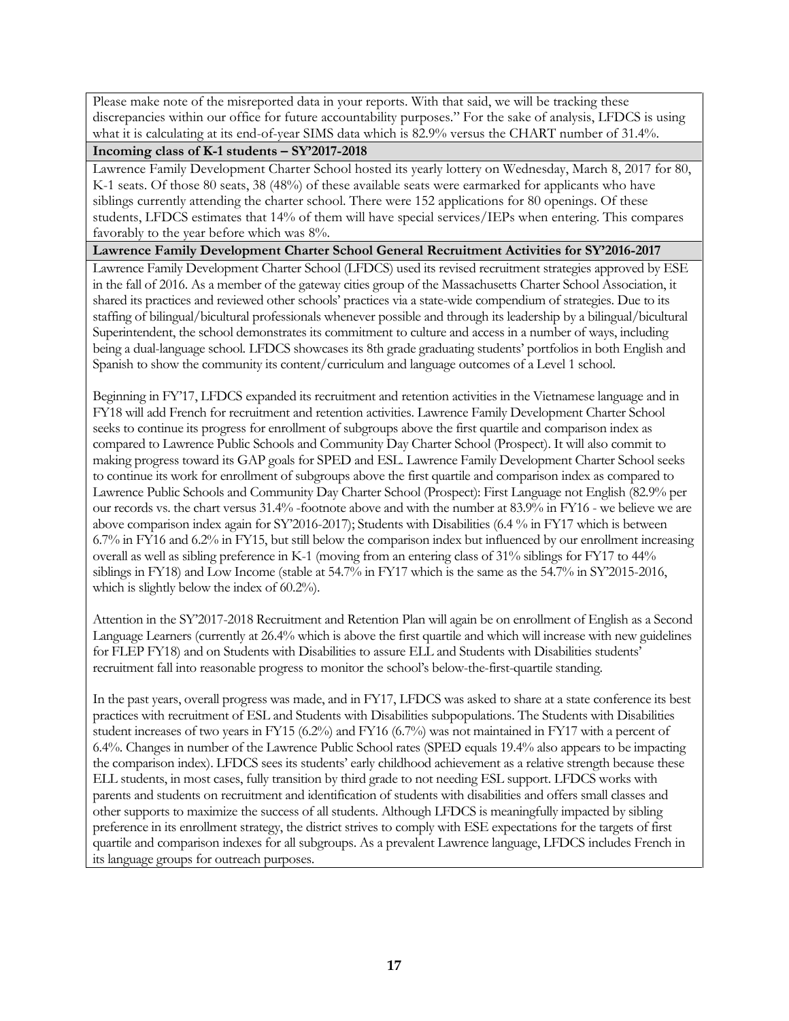Please make note of the misreported data in your reports. With that said, we will be tracking these discrepancies within our office for future accountability purposes." For the sake of analysis, LFDCS is using what it is calculating at its end-of-year SIMS data which is 82.9% versus the CHART number of 31.4%.

# **Incoming class of K-1 students – SY'2017-2018**

Lawrence Family Development Charter School hosted its yearly lottery on Wednesday, March 8, 2017 for 80, K-1 seats. Of those 80 seats, 38 (48%) of these available seats were earmarked for applicants who have siblings currently attending the charter school. There were 152 applications for 80 openings. Of these students, LFDCS estimates that 14% of them will have special services/IEPs when entering. This compares favorably to the year before which was  $8\%$ .

# **Lawrence Family Development Charter School General Recruitment Activities for SY'2016-2017**

Lawrence Family Development Charter School (LFDCS) used its revised recruitment strategies approved by ESE in the fall of 2016. As a member of the gateway cities group of the Massachusetts Charter School Association, it shared its practices and reviewed other schools' practices via a state-wide compendium of strategies. Due to its staffing of bilingual/bicultural professionals whenever possible and through its leadership by a bilingual/bicultural Superintendent, the school demonstrates its commitment to culture and access in a number of ways, including being a dual-language school. LFDCS showcases its 8th grade graduating students' portfolios in both English and Spanish to show the community its content/curriculum and language outcomes of a Level 1 school.

Beginning in FY'17, LFDCS expanded its recruitment and retention activities in the Vietnamese language and in FY18 will add French for recruitment and retention activities. Lawrence Family Development Charter School seeks to continue its progress for enrollment of subgroups above the first quartile and comparison index as compared to Lawrence Public Schools and Community Day Charter School (Prospect). It will also commit to making progress toward its GAP goals for SPED and ESL. Lawrence Family Development Charter School seeks to continue its work for enrollment of subgroups above the first quartile and comparison index as compared to Lawrence Public Schools and Community Day Charter School (Prospect): First Language not English (82.9% per our records vs. the chart versus 31.4% -footnote above and with the number at 83.9% in FY16 - we believe we are above comparison index again for SY'2016-2017); Students with Disabilities (6.4 % in FY17 which is between 6.7% in FY16 and 6.2% in FY15, but still below the comparison index but influenced by our enrollment increasing overall as well as sibling preference in K-1 (moving from an entering class of 31% siblings for FY17 to 44% siblings in FY18) and Low Income (stable at 54.7% in FY17 which is the same as the 54.7% in SY'2015-2016, which is slightly below the index of 60.2%).

Attention in the SY'2017-2018 Recruitment and Retention Plan will again be on enrollment of English as a Second Language Learners (currently at 26.4% which is above the first quartile and which will increase with new guidelines for FLEP FY18) and on Students with Disabilities to assure ELL and Students with Disabilities students' recruitment fall into reasonable progress to monitor the school's below-the-first-quartile standing.

In the past years, overall progress was made, and in FY17, LFDCS was asked to share at a state conference its best practices with recruitment of ESL and Students with Disabilities subpopulations. The Students with Disabilities student increases of two years in FY15 (6.2%) and FY16 (6.7%) was not maintained in FY17 with a percent of 6.4%. Changes in number of the Lawrence Public School rates (SPED equals 19.4% also appears to be impacting the comparison index). LFDCS sees its students' early childhood achievement as a relative strength because these ELL students, in most cases, fully transition by third grade to not needing ESL support. LFDCS works with parents and students on recruitment and identification of students with disabilities and offers small classes and other supports to maximize the success of all students. Although LFDCS is meaningfully impacted by sibling preference in its enrollment strategy, the district strives to comply with ESE expectations for the targets of first quartile and comparison indexes for all subgroups. As a prevalent Lawrence language, LFDCS includes French in its language groups for outreach purposes.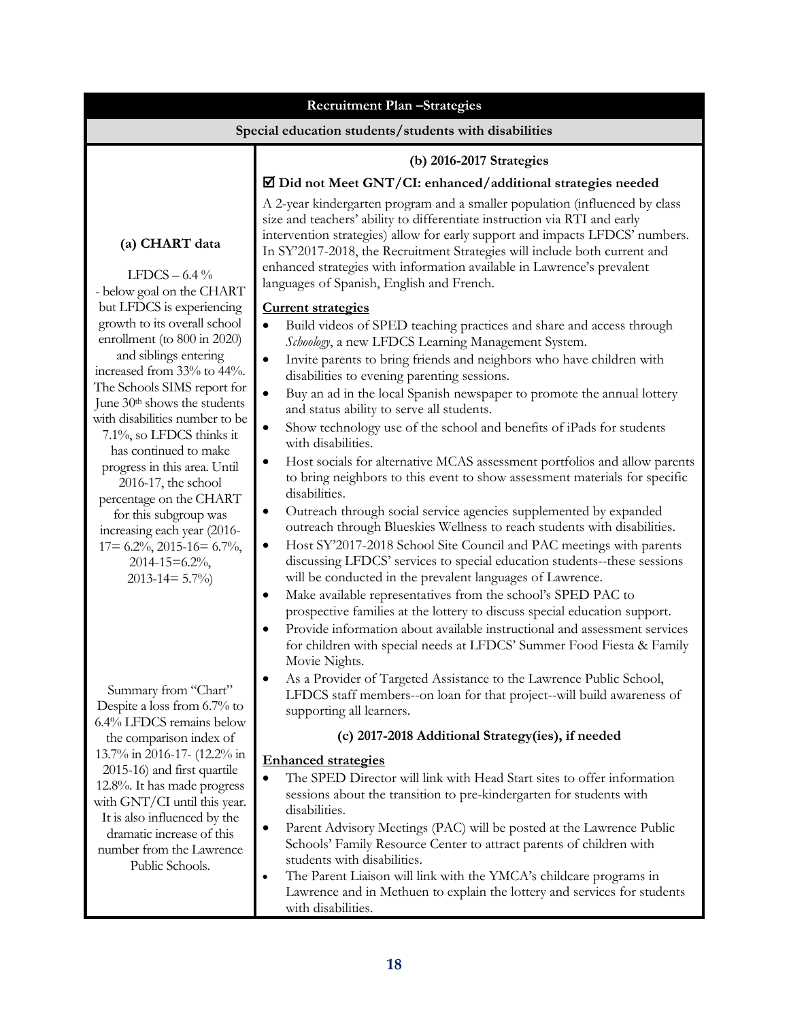| <b>Recruitment Plan-Strategies</b>                                                                                                                                                                                                                   |                                                                                                                                                                                                                                                                                                                                                                                                                                              |  |  |  |
|------------------------------------------------------------------------------------------------------------------------------------------------------------------------------------------------------------------------------------------------------|----------------------------------------------------------------------------------------------------------------------------------------------------------------------------------------------------------------------------------------------------------------------------------------------------------------------------------------------------------------------------------------------------------------------------------------------|--|--|--|
| Special education students/students with disabilities                                                                                                                                                                                                |                                                                                                                                                                                                                                                                                                                                                                                                                                              |  |  |  |
|                                                                                                                                                                                                                                                      | (b) 2016-2017 Strategies                                                                                                                                                                                                                                                                                                                                                                                                                     |  |  |  |
|                                                                                                                                                                                                                                                      | $\Xi$ Did not Meet GNT/CI: enhanced/additional strategies needed                                                                                                                                                                                                                                                                                                                                                                             |  |  |  |
| (a) CHART data<br>LFDCS $-6.4\%$<br>- below goal on the CHART                                                                                                                                                                                        | A 2-year kindergarten program and a smaller population (influenced by class<br>size and teachers' ability to differentiate instruction via RTI and early<br>intervention strategies) allow for early support and impacts LFDCS' numbers.<br>In SY'2017-2018, the Recruitment Strategies will include both current and<br>enhanced strategies with information available in Lawrence's prevalent<br>languages of Spanish, English and French. |  |  |  |
| but LFDCS is experiencing                                                                                                                                                                                                                            | <b>Current strategies</b>                                                                                                                                                                                                                                                                                                                                                                                                                    |  |  |  |
| growth to its overall school<br>enrollment (to 800 in 2020)                                                                                                                                                                                          | Build videos of SPED teaching practices and share and access through<br>$\bullet$<br>Schoology, a new LFDCS Learning Management System.                                                                                                                                                                                                                                                                                                      |  |  |  |
| and siblings entering<br>increased from 33% to 44%.                                                                                                                                                                                                  | Invite parents to bring friends and neighbors who have children with<br>$\bullet$<br>disabilities to evening parenting sessions.                                                                                                                                                                                                                                                                                                             |  |  |  |
| The Schools SIMS report for<br>June 30 <sup>th</sup> shows the students                                                                                                                                                                              | Buy an ad in the local Spanish newspaper to promote the annual lottery<br>$\bullet$<br>and status ability to serve all students.                                                                                                                                                                                                                                                                                                             |  |  |  |
| with disabilities number to be<br>7.1%, so LFDCS thinks it                                                                                                                                                                                           | Show technology use of the school and benefits of iPads for students<br>$\bullet$<br>with disabilities.                                                                                                                                                                                                                                                                                                                                      |  |  |  |
| has continued to make<br>progress in this area. Until<br>$2016-17$ , the school<br>percentage on the CHART<br>for this subgroup was<br>increasing each year (2016-<br>$17 = 6.2\%, 2015 - 16 = 6.7\%,$<br>$2014 - 15 = 6.2\%$<br>$2013 - 14 = 5.7\%$ | Host socials for alternative MCAS assessment portfolios and allow parents<br>$\bullet$<br>to bring neighbors to this event to show assessment materials for specific<br>disabilities.                                                                                                                                                                                                                                                        |  |  |  |
|                                                                                                                                                                                                                                                      | Outreach through social service agencies supplemented by expanded<br>٠<br>outreach through Blueskies Wellness to reach students with disabilities.<br>Host SY'2017-2018 School Site Council and PAC meetings with parents<br>$\bullet$<br>discussing LFDCS' services to special education students--these sessions<br>will be conducted in the prevalent languages of Lawrence.                                                              |  |  |  |
|                                                                                                                                                                                                                                                      | Make available representatives from the school's SPED PAC to                                                                                                                                                                                                                                                                                                                                                                                 |  |  |  |
|                                                                                                                                                                                                                                                      | prospective families at the lottery to discuss special education support.<br>Provide information about available instructional and assessment services<br>for children with special needs at LFDCS' Summer Food Fiesta & Family<br>Movie Nights.                                                                                                                                                                                             |  |  |  |
| Summary from "Chart"<br>Despite a loss from 6.7% to                                                                                                                                                                                                  | As a Provider of Targeted Assistance to the Lawrence Public School,<br>LFDCS staff members--on loan for that project--will build awareness of<br>supporting all learners.                                                                                                                                                                                                                                                                    |  |  |  |
| 6.4% LFDCS remains below<br>the comparison index of                                                                                                                                                                                                  | (c) 2017-2018 Additional Strategy(ies), if needed                                                                                                                                                                                                                                                                                                                                                                                            |  |  |  |
| 13.7% in 2016-17- (12.2% in                                                                                                                                                                                                                          | <b>Enhanced strategies</b>                                                                                                                                                                                                                                                                                                                                                                                                                   |  |  |  |
| 2015-16) and first quartile<br>12.8%. It has made progress<br>with GNT/CI until this year.<br>It is also influenced by the<br>dramatic increase of this<br>number from the Lawrence<br>Public Schools.                                               | The SPED Director will link with Head Start sites to offer information<br>sessions about the transition to pre-kindergarten for students with<br>disabilities.                                                                                                                                                                                                                                                                               |  |  |  |
|                                                                                                                                                                                                                                                      | Parent Advisory Meetings (PAC) will be posted at the Lawrence Public<br>$\bullet$<br>Schools' Family Resource Center to attract parents of children with<br>students with disabilities.<br>The Parent Liaison will link with the YMCA's childcare programs in<br>$\bullet$                                                                                                                                                                   |  |  |  |
|                                                                                                                                                                                                                                                      | Lawrence and in Methuen to explain the lottery and services for students<br>with disabilities.                                                                                                                                                                                                                                                                                                                                               |  |  |  |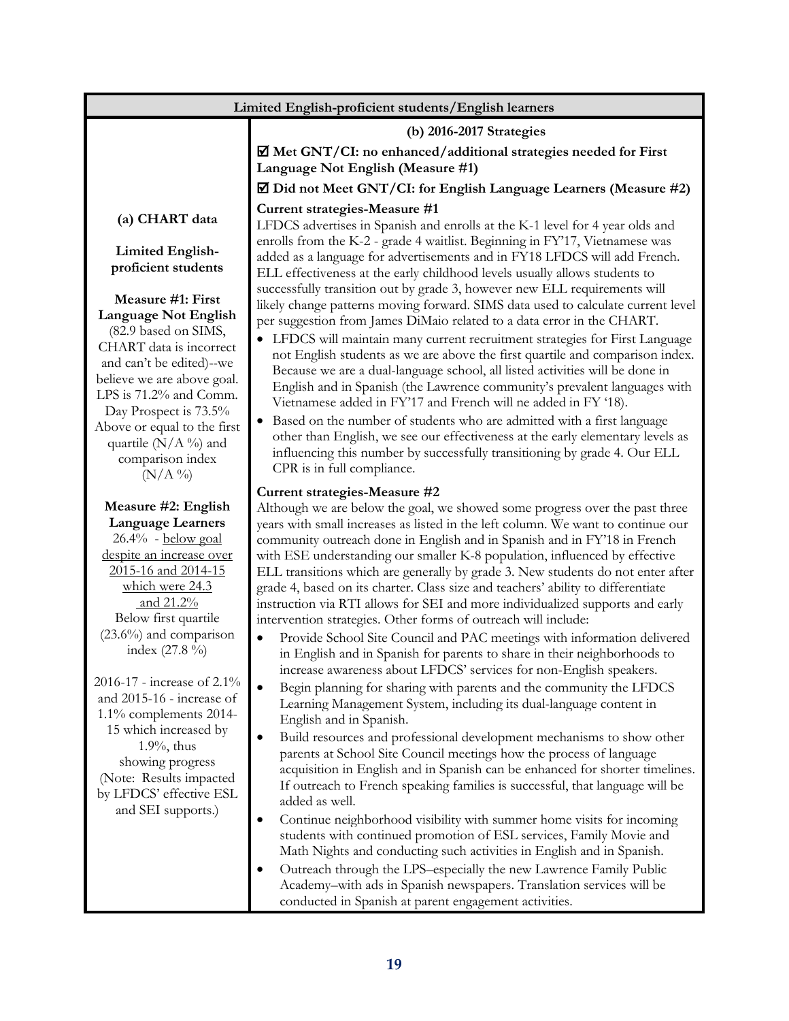| Limited English-proficient students/English learners                                                                                                         |                                                                                                                                                                                                                                                                                                                                                                                                                                                                                                                                                                      |  |  |  |
|--------------------------------------------------------------------------------------------------------------------------------------------------------------|----------------------------------------------------------------------------------------------------------------------------------------------------------------------------------------------------------------------------------------------------------------------------------------------------------------------------------------------------------------------------------------------------------------------------------------------------------------------------------------------------------------------------------------------------------------------|--|--|--|
|                                                                                                                                                              | (b) 2016-2017 Strategies                                                                                                                                                                                                                                                                                                                                                                                                                                                                                                                                             |  |  |  |
|                                                                                                                                                              | Met GNT/CI: no enhanced/additional strategies needed for First<br>Language Not English (Measure #1)                                                                                                                                                                                                                                                                                                                                                                                                                                                                  |  |  |  |
|                                                                                                                                                              | ☑ Did not Meet GNT/CI: for English Language Learners (Measure #2)                                                                                                                                                                                                                                                                                                                                                                                                                                                                                                    |  |  |  |
| (a) CHART data                                                                                                                                               | Current strategies-Measure #1<br>LFDCS advertises in Spanish and enrolls at the K-1 level for 4 year olds and                                                                                                                                                                                                                                                                                                                                                                                                                                                        |  |  |  |
| <b>Limited English-</b><br>proficient students                                                                                                               | enrolls from the K-2 - grade 4 waitlist. Beginning in FY'17, Vietnamese was<br>added as a language for advertisements and in FY18 LFDCS will add French.<br>ELL effectiveness at the early childhood levels usually allows students to                                                                                                                                                                                                                                                                                                                               |  |  |  |
| Measure #1: First<br><b>Language Not English</b><br>(82.9 based on SIMS,                                                                                     | successfully transition out by grade 3, however new ELL requirements will<br>likely change patterns moving forward. SIMS data used to calculate current level<br>per suggestion from James DiMaio related to a data error in the CHART.                                                                                                                                                                                                                                                                                                                              |  |  |  |
| CHART data is incorrect<br>and can't be edited)--we<br>believe we are above goal.<br>LPS is 71.2% and Comm.<br>Day Prospect is 73.5%                         | • LFDCS will maintain many current recruitment strategies for First Language<br>not English students as we are above the first quartile and comparison index.<br>Because we are a dual-language school, all listed activities will be done in<br>English and in Spanish (the Lawrence community's prevalent languages with<br>Vietnamese added in FY'17 and French will ne added in FY '18).                                                                                                                                                                         |  |  |  |
| Above or equal to the first<br>quartile $(N/A \%)$ and<br>comparison index<br>$(N/A\%)$                                                                      | • Based on the number of students who are admitted with a first language<br>other than English, we see our effectiveness at the early elementary levels as<br>influencing this number by successfully transitioning by grade 4. Our ELL<br>CPR is in full compliance.                                                                                                                                                                                                                                                                                                |  |  |  |
|                                                                                                                                                              | Current strategies-Measure #2                                                                                                                                                                                                                                                                                                                                                                                                                                                                                                                                        |  |  |  |
| Measure #2: English                                                                                                                                          | Although we are below the goal, we showed some progress over the past three                                                                                                                                                                                                                                                                                                                                                                                                                                                                                          |  |  |  |
| <b>Language Learners</b><br>$26.4\%$ - below goal<br>despite an increase over<br>2015-16 and 2014-15<br>which were 24.3<br>and 21.2%<br>Below first quartile | years with small increases as listed in the left column. We want to continue our<br>community outreach done in English and in Spanish and in FY'18 in French<br>with ESE understanding our smaller K-8 population, influenced by effective<br>ELL transitions which are generally by grade 3. New students do not enter after<br>grade 4, based on its charter. Class size and teachers' ability to differentiate<br>instruction via RTI allows for SEI and more individualized supports and early<br>intervention strategies. Other forms of outreach will include: |  |  |  |
| $(23.6\%)$ and comparison<br>index $(27.8\%)$                                                                                                                | Provide School Site Council and PAC meetings with information delivered<br>$\bullet$<br>in English and in Spanish for parents to share in their neighborhoods to<br>increase awareness about LFDCS' services for non-English speakers.                                                                                                                                                                                                                                                                                                                               |  |  |  |
| 2016-17 - increase of 2.1%<br>and 2015-16 - increase of<br>1.1% complements 2014-                                                                            | Begin planning for sharing with parents and the community the LFDCS<br>$\bullet$<br>Learning Management System, including its dual-language content in<br>English and in Spanish.                                                                                                                                                                                                                                                                                                                                                                                    |  |  |  |
| 15 which increased by<br>$1.9\%$ , thus<br>showing progress<br>(Note: Results impacted<br>by LFDCS' effective ESL                                            | Build resources and professional development mechanisms to show other<br>$\bullet$<br>parents at School Site Council meetings how the process of language<br>acquisition in English and in Spanish can be enhanced for shorter timelines.<br>If outreach to French speaking families is successful, that language will be<br>added as well.                                                                                                                                                                                                                          |  |  |  |
| and SEI supports.)                                                                                                                                           | Continue neighborhood visibility with summer home visits for incoming<br>٠<br>students with continued promotion of ESL services, Family Movie and<br>Math Nights and conducting such activities in English and in Spanish.<br>Outreach through the LPS-especially the new Lawrence Family Public<br>٠<br>Academy-with ads in Spanish newspapers. Translation services will be                                                                                                                                                                                        |  |  |  |
|                                                                                                                                                              | conducted in Spanish at parent engagement activities.                                                                                                                                                                                                                                                                                                                                                                                                                                                                                                                |  |  |  |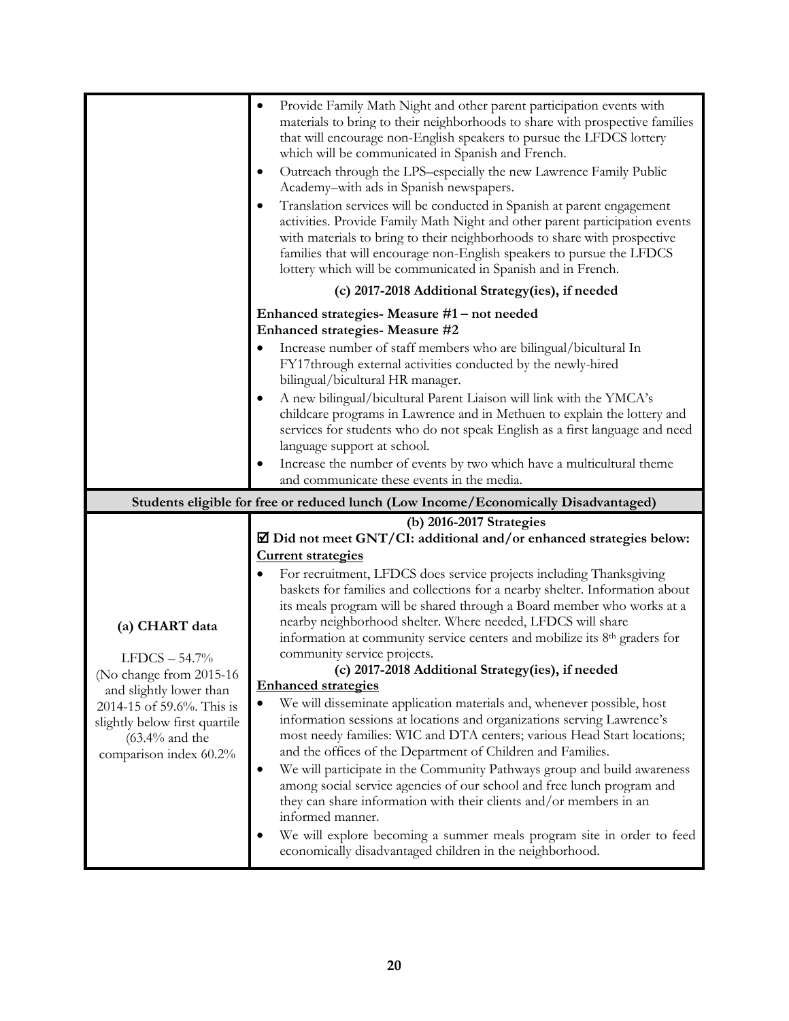|                                                                                     | Provide Family Math Night and other parent participation events with<br>$\bullet$<br>materials to bring to their neighborhoods to share with prospective families<br>that will encourage non-English speakers to pursue the LFDCS lottery<br>which will be communicated in Spanish and French.<br>Outreach through the LPS-especially the new Lawrence Family Public<br>Academy-with ads in Spanish newspapers.<br>Translation services will be conducted in Spanish at parent engagement<br>activities. Provide Family Math Night and other parent participation events<br>with materials to bring to their neighborhoods to share with prospective<br>families that will encourage non-English speakers to pursue the LFDCS<br>lottery which will be communicated in Spanish and in French.<br>(c) 2017-2018 Additional Strategy(ies), if needed |  |  |
|-------------------------------------------------------------------------------------|----------------------------------------------------------------------------------------------------------------------------------------------------------------------------------------------------------------------------------------------------------------------------------------------------------------------------------------------------------------------------------------------------------------------------------------------------------------------------------------------------------------------------------------------------------------------------------------------------------------------------------------------------------------------------------------------------------------------------------------------------------------------------------------------------------------------------------------------------|--|--|
|                                                                                     | Enhanced strategies- Measure #1 – not needed                                                                                                                                                                                                                                                                                                                                                                                                                                                                                                                                                                                                                                                                                                                                                                                                       |  |  |
|                                                                                     | Enhanced strategies- Measure #2                                                                                                                                                                                                                                                                                                                                                                                                                                                                                                                                                                                                                                                                                                                                                                                                                    |  |  |
|                                                                                     | Increase number of staff members who are bilingual/bicultural In<br>FY17through external activities conducted by the newly-hired<br>bilingual/bicultural HR manager.                                                                                                                                                                                                                                                                                                                                                                                                                                                                                                                                                                                                                                                                               |  |  |
|                                                                                     | A new bilingual/bicultural Parent Liaison will link with the YMCA's                                                                                                                                                                                                                                                                                                                                                                                                                                                                                                                                                                                                                                                                                                                                                                                |  |  |
|                                                                                     | childcare programs in Lawrence and in Methuen to explain the lottery and                                                                                                                                                                                                                                                                                                                                                                                                                                                                                                                                                                                                                                                                                                                                                                           |  |  |
|                                                                                     | services for students who do not speak English as a first language and need<br>language support at school.                                                                                                                                                                                                                                                                                                                                                                                                                                                                                                                                                                                                                                                                                                                                         |  |  |
|                                                                                     | Increase the number of events by two which have a multicultural theme                                                                                                                                                                                                                                                                                                                                                                                                                                                                                                                                                                                                                                                                                                                                                                              |  |  |
|                                                                                     | and communicate these events in the media.                                                                                                                                                                                                                                                                                                                                                                                                                                                                                                                                                                                                                                                                                                                                                                                                         |  |  |
| Students eligible for free or reduced lunch (Low Income/Economically Disadvantaged) |                                                                                                                                                                                                                                                                                                                                                                                                                                                                                                                                                                                                                                                                                                                                                                                                                                                    |  |  |
|                                                                                     |                                                                                                                                                                                                                                                                                                                                                                                                                                                                                                                                                                                                                                                                                                                                                                                                                                                    |  |  |
|                                                                                     | (b) 2016-2017 Strategies                                                                                                                                                                                                                                                                                                                                                                                                                                                                                                                                                                                                                                                                                                                                                                                                                           |  |  |
|                                                                                     | ☑ Did not meet GNT/CI: additional and/or enhanced strategies below:<br><b>Current strategies</b>                                                                                                                                                                                                                                                                                                                                                                                                                                                                                                                                                                                                                                                                                                                                                   |  |  |
|                                                                                     | For recruitment, LFDCS does service projects including Thanksgiving                                                                                                                                                                                                                                                                                                                                                                                                                                                                                                                                                                                                                                                                                                                                                                                |  |  |
|                                                                                     | baskets for families and collections for a nearby shelter. Information about<br>its meals program will be shared through a Board member who works at a                                                                                                                                                                                                                                                                                                                                                                                                                                                                                                                                                                                                                                                                                             |  |  |
| (a) CHART data                                                                      | nearby neighborhood shelter. Where needed, LFDCS will share                                                                                                                                                                                                                                                                                                                                                                                                                                                                                                                                                                                                                                                                                                                                                                                        |  |  |
|                                                                                     | information at community service centers and mobilize its 8 <sup>th</sup> graders for                                                                                                                                                                                                                                                                                                                                                                                                                                                                                                                                                                                                                                                                                                                                                              |  |  |
| $LFDCS - 54.7%$                                                                     | community service projects.<br>(c) 2017-2018 Additional Strategy(ies), if needed                                                                                                                                                                                                                                                                                                                                                                                                                                                                                                                                                                                                                                                                                                                                                                   |  |  |
| (No change from 2015-16<br>and slightly lower than                                  | <b>Enhanced strategies</b>                                                                                                                                                                                                                                                                                                                                                                                                                                                                                                                                                                                                                                                                                                                                                                                                                         |  |  |
| 2014-15 of 59.6%. This is                                                           | We will disseminate application materials and, whenever possible, host<br>$\bullet$                                                                                                                                                                                                                                                                                                                                                                                                                                                                                                                                                                                                                                                                                                                                                                |  |  |
| slightly below first quartile                                                       | information sessions at locations and organizations serving Lawrence's<br>most needy families: WIC and DTA centers; various Head Start locations;                                                                                                                                                                                                                                                                                                                                                                                                                                                                                                                                                                                                                                                                                                  |  |  |
| $(63.4\%$ and the<br>comparison index 60.2%                                         | and the offices of the Department of Children and Families.                                                                                                                                                                                                                                                                                                                                                                                                                                                                                                                                                                                                                                                                                                                                                                                        |  |  |
|                                                                                     | We will participate in the Community Pathways group and build awareness<br>$\bullet$                                                                                                                                                                                                                                                                                                                                                                                                                                                                                                                                                                                                                                                                                                                                                               |  |  |
|                                                                                     | among social service agencies of our school and free lunch program and<br>they can share information with their clients and/or members in an                                                                                                                                                                                                                                                                                                                                                                                                                                                                                                                                                                                                                                                                                                       |  |  |
|                                                                                     | informed manner.<br>We will explore becoming a summer meals program site in order to feed<br>$\bullet$                                                                                                                                                                                                                                                                                                                                                                                                                                                                                                                                                                                                                                                                                                                                             |  |  |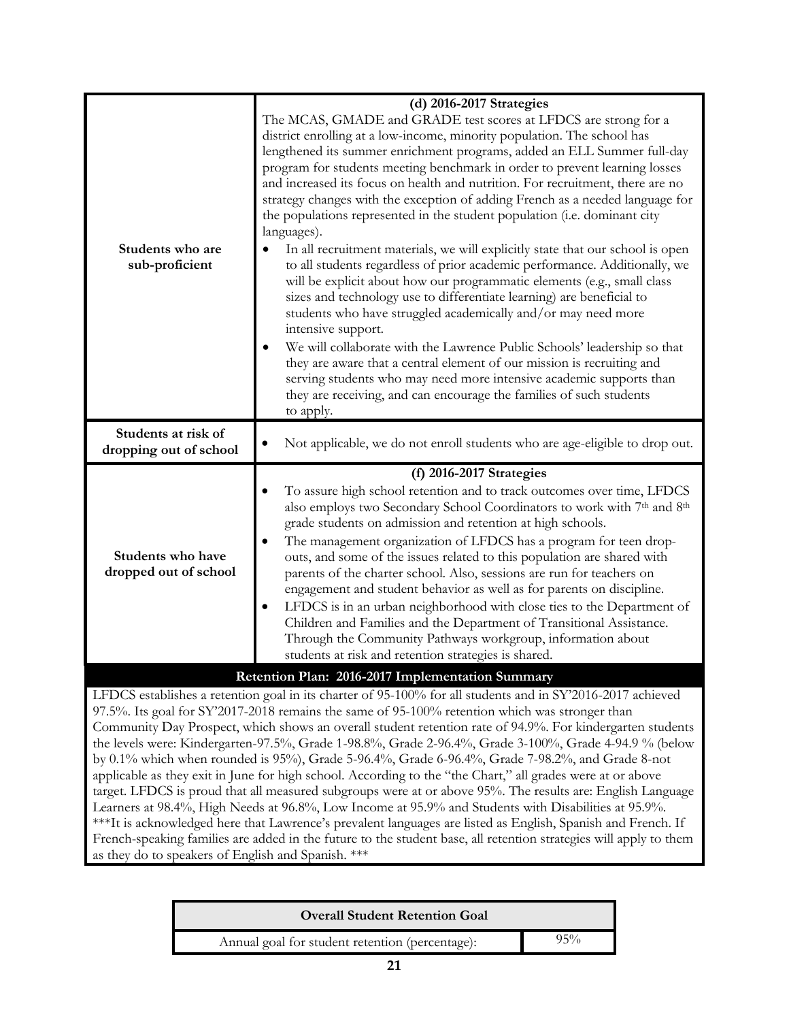| Students who are<br>sub-proficient            | (d) 2016-2017 Strategies<br>The MCAS, GMADE and GRADE test scores at LFDCS are strong for a<br>district enrolling at a low-income, minority population. The school has<br>lengthened its summer enrichment programs, added an ELL Summer full-day<br>program for students meeting benchmark in order to prevent learning losses<br>and increased its focus on health and nutrition. For recruitment, there are no<br>strategy changes with the exception of adding French as a needed language for<br>the populations represented in the student population (i.e. dominant city<br>languages).<br>In all recruitment materials, we will explicitly state that our school is open<br>to all students regardless of prior academic performance. Additionally, we<br>will be explicit about how our programmatic elements (e.g., small class<br>sizes and technology use to differentiate learning) are beneficial to<br>students who have struggled academically and/or may need more<br>intensive support.<br>We will collaborate with the Lawrence Public Schools' leadership so that<br>they are aware that a central element of our mission is recruiting and<br>serving students who may need more intensive academic supports than<br>they are receiving, and can encourage the families of such students<br>to apply. |
|-----------------------------------------------|----------------------------------------------------------------------------------------------------------------------------------------------------------------------------------------------------------------------------------------------------------------------------------------------------------------------------------------------------------------------------------------------------------------------------------------------------------------------------------------------------------------------------------------------------------------------------------------------------------------------------------------------------------------------------------------------------------------------------------------------------------------------------------------------------------------------------------------------------------------------------------------------------------------------------------------------------------------------------------------------------------------------------------------------------------------------------------------------------------------------------------------------------------------------------------------------------------------------------------------------------------------------------------------------------------------------------|
| Students at risk of<br>dropping out of school | Not applicable, we do not enroll students who are age-eligible to drop out.                                                                                                                                                                                                                                                                                                                                                                                                                                                                                                                                                                                                                                                                                                                                                                                                                                                                                                                                                                                                                                                                                                                                                                                                                                                |
| Students who have<br>dropped out of school    | (f) 2016-2017 Strategies<br>To assure high school retention and to track outcomes over time, LFDCS<br>also employs two Secondary School Coordinators to work with 7th and 8th<br>grade students on admission and retention at high schools.<br>The management organization of LFDCS has a program for teen drop-<br>outs, and some of the issues related to this population are shared with<br>parents of the charter school. Also, sessions are run for teachers on<br>engagement and student behavior as well as for parents on discipline.<br>LFDCS is in an urban neighborhood with close ties to the Department of<br>Children and Families and the Department of Transitional Assistance.<br>Through the Community Pathways workgroup, information about<br>students at risk and retention strategies is shared.                                                                                                                                                                                                                                                                                                                                                                                                                                                                                                     |
|                                               | Retention Plan: 2016-2017 Implementation Summary                                                                                                                                                                                                                                                                                                                                                                                                                                                                                                                                                                                                                                                                                                                                                                                                                                                                                                                                                                                                                                                                                                                                                                                                                                                                           |
|                                               | LFDCS establishes a retention goal in its charter of 95-100% for all students and in SY'2016-2017 achieved<br>97.5%. Its goal for SY'2017-2018 remains the same of 95-100% retention which was stronger than<br>Community Day Prospect, which shows an overall student retention rate of 94.9%. For kindergarten students<br>the levels were: Kindergarten-97.5%, Grade 1-98.8%, Grade 2-96.4%, Grade 3-100%, Grade 4-94.9 % (below<br>by 0.1% which when rounded is 95%), Grade 5-96.4%, Grade 6-96.4%, Grade 7-98.2%, and Grade 8-not<br>applicable as they exit in June for high school. According to the "the Chart," all grades were at or above                                                                                                                                                                                                                                                                                                                                                                                                                                                                                                                                                                                                                                                                      |

applicable as they exit in June for high school. According to the "the Chart," all grades were at or above target. LFDCS is proud that all measured subgroups were at or above 95%. The results are: English Language Learners at 98.4%, High Needs at 96.8%, Low Income at 95.9% and Students with Disabilities at 95.9%. \*\*\*It is acknowledged here that Lawrence's prevalent languages are listed as English, Spanish and French. If French-speaking families are added in the future to the student base, all retention strategies will apply to them as they do to speakers of English and Spanish. \*\*\*

| <b>Overall Student Retention Goal</b>           |        |
|-------------------------------------------------|--------|
| Annual goal for student retention (percentage): | $95\%$ |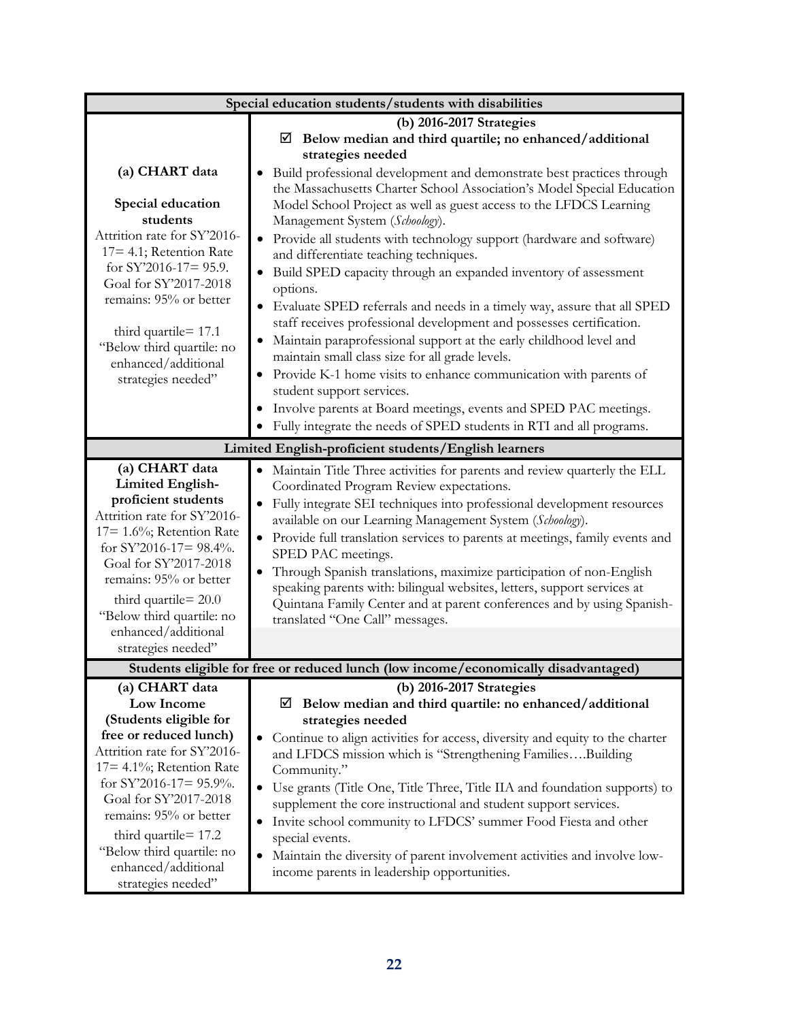| Special education students/students with disabilities                                                                                                                                                                                                                                                                       |                                                                                                                                                                                                                                                                                                                                                                                                                                                                                                                                                                                                                                                                                                                                                                                                                                                                                                                                                                                                                                                                                       |  |  |  |
|-----------------------------------------------------------------------------------------------------------------------------------------------------------------------------------------------------------------------------------------------------------------------------------------------------------------------------|---------------------------------------------------------------------------------------------------------------------------------------------------------------------------------------------------------------------------------------------------------------------------------------------------------------------------------------------------------------------------------------------------------------------------------------------------------------------------------------------------------------------------------------------------------------------------------------------------------------------------------------------------------------------------------------------------------------------------------------------------------------------------------------------------------------------------------------------------------------------------------------------------------------------------------------------------------------------------------------------------------------------------------------------------------------------------------------|--|--|--|
| (a) CHART data<br>Special education<br>students<br>Attrition rate for SY'2016-<br>$17 = 4.1$ ; Retention Rate<br>for SY'2016-17= 95.9.<br>Goal for SY'2017-2018<br>remains: 95% or better<br>third quartile $= 17.1$<br>"Below third quartile: no<br>enhanced/additional<br>strategies needed"                              | (b) 2016-2017 Strategies<br>$\boxtimes$ Below median and third quartile; no enhanced/additional<br>strategies needed<br>Build professional development and demonstrate best practices through<br>$\bullet$<br>the Massachusetts Charter School Association's Model Special Education<br>Model School Project as well as guest access to the LFDCS Learning<br>Management System (Schoology).<br>Provide all students with technology support (hardware and software)<br>and differentiate teaching techniques.<br>Build SPED capacity through an expanded inventory of assessment<br>$\bullet$<br>options.<br>Evaluate SPED referrals and needs in a timely way, assure that all SPED<br>$\bullet$<br>staff receives professional development and possesses certification.<br>Maintain paraprofessional support at the early childhood level and<br>maintain small class size for all grade levels.<br>Provide K-1 home visits to enhance communication with parents of<br>student support services.<br>Involve parents at Board meetings, events and SPED PAC meetings.<br>$\bullet$ |  |  |  |
|                                                                                                                                                                                                                                                                                                                             | Fully integrate the needs of SPED students in RTI and all programs.<br>$\bullet$                                                                                                                                                                                                                                                                                                                                                                                                                                                                                                                                                                                                                                                                                                                                                                                                                                                                                                                                                                                                      |  |  |  |
| Limited English-proficient students/English learners                                                                                                                                                                                                                                                                        |                                                                                                                                                                                                                                                                                                                                                                                                                                                                                                                                                                                                                                                                                                                                                                                                                                                                                                                                                                                                                                                                                       |  |  |  |
| (a) CHART data<br><b>Limited English-</b><br>proficient students<br>Attrition rate for SY'2016-<br>$17 = 1.6\%$ ; Retention Rate<br>for SY'2016-17= 98.4%.<br>Goal for SY'2017-2018<br>remains: 95% or better<br>third quartile= 20.0<br>"Below third quartile: no<br>enhanced/additional<br>strategies needed"             | Maintain Title Three activities for parents and review quarterly the ELL<br>Coordinated Program Review expectations.<br>Fully integrate SEI techniques into professional development resources<br>$\bullet$<br>available on our Learning Management System (Schoology).<br>Provide full translation services to parents at meetings, family events and<br>SPED PAC meetings.<br>Through Spanish translations, maximize participation of non-English<br>$\bullet$<br>speaking parents with: bilingual websites, letters, support services at<br>Quintana Family Center and at parent conferences and by using Spanish-<br>translated "One Call" messages.                                                                                                                                                                                                                                                                                                                                                                                                                              |  |  |  |
|                                                                                                                                                                                                                                                                                                                             | Students eligible for free or reduced lunch (low income/economically disadvantaged)                                                                                                                                                                                                                                                                                                                                                                                                                                                                                                                                                                                                                                                                                                                                                                                                                                                                                                                                                                                                   |  |  |  |
| (a) CHART data<br>Low Income<br>(Students eligible for<br>free or reduced lunch)<br>Attrition rate for SY'2016-<br>17= 4.1%; Retention Rate<br>for SY'2016-17= 95.9%.<br>Goal for SY'2017-2018<br>remains: 95% or better<br>third quartile = 17.2<br>"Below third quartile: no<br>enhanced/additional<br>strategies needed" | (b) 2016-2017 Strategies<br>$\boxtimes$ Below median and third quartile: no enhanced/additional<br>strategies needed<br>Continue to align activities for access, diversity and equity to the charter<br>and LFDCS mission which is "Strengthening FamiliesBuilding<br>Community."<br>Use grants (Title One, Title Three, Title IIA and foundation supports) to<br>$\bullet$<br>supplement the core instructional and student support services.<br>Invite school community to LFDCS' summer Food Fiesta and other<br>$\bullet$<br>special events.<br>Maintain the diversity of parent involvement activities and involve low-<br>$\bullet$<br>income parents in leadership opportunities.                                                                                                                                                                                                                                                                                                                                                                                              |  |  |  |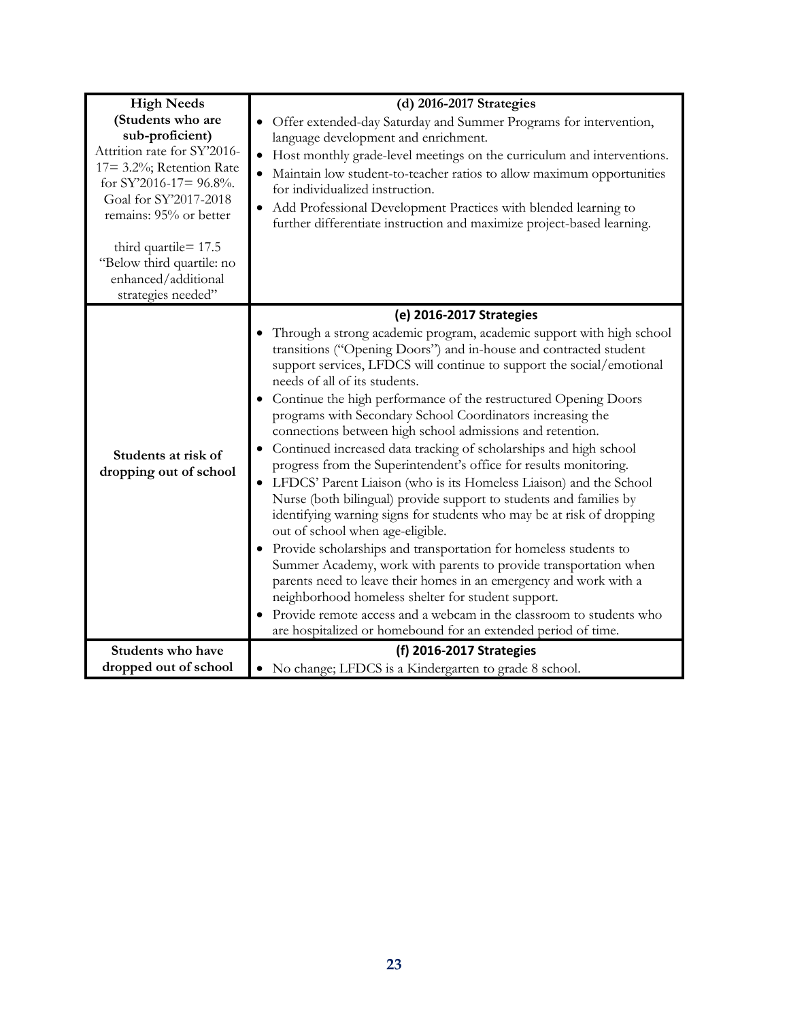| <b>High Needs</b>                                                                                                                                                                | (d) 2016-2017 Strategies                                                                                                                                                                                                                                                                                                                                                                                                                                                                                                                                                                                                                                                                                                                                                                                                                                                                                                                                                                                                                                            |  |  |
|----------------------------------------------------------------------------------------------------------------------------------------------------------------------------------|---------------------------------------------------------------------------------------------------------------------------------------------------------------------------------------------------------------------------------------------------------------------------------------------------------------------------------------------------------------------------------------------------------------------------------------------------------------------------------------------------------------------------------------------------------------------------------------------------------------------------------------------------------------------------------------------------------------------------------------------------------------------------------------------------------------------------------------------------------------------------------------------------------------------------------------------------------------------------------------------------------------------------------------------------------------------|--|--|
| (Students who are<br>sub-proficient)<br>Attrition rate for SY'2016-<br>17= 3.2%; Retention Rate<br>for SY'2016-17= $96.8\%$ .<br>Goal for SY'2017-2018<br>remains: 95% or better | • Offer extended-day Saturday and Summer Programs for intervention,<br>language development and enrichment.<br>Host monthly grade-level meetings on the curriculum and interventions.<br>Maintain low student-to-teacher ratios to allow maximum opportunities<br>for individualized instruction.<br>• Add Professional Development Practices with blended learning to<br>further differentiate instruction and maximize project-based learning.                                                                                                                                                                                                                                                                                                                                                                                                                                                                                                                                                                                                                    |  |  |
| third quartile = 17.5<br>"Below third quartile: no<br>enhanced/additional<br>strategies needed"                                                                                  |                                                                                                                                                                                                                                                                                                                                                                                                                                                                                                                                                                                                                                                                                                                                                                                                                                                                                                                                                                                                                                                                     |  |  |
|                                                                                                                                                                                  | (e) 2016-2017 Strategies                                                                                                                                                                                                                                                                                                                                                                                                                                                                                                                                                                                                                                                                                                                                                                                                                                                                                                                                                                                                                                            |  |  |
| Students at risk of<br>dropping out of school                                                                                                                                    | Through a strong academic program, academic support with high school<br>transitions ("Opening Doors") and in-house and contracted student<br>support services, LFDCS will continue to support the social/emotional<br>needs of all of its students.<br>Continue the high performance of the restructured Opening Doors<br>programs with Secondary School Coordinators increasing the<br>connections between high school admissions and retention.<br>Continued increased data tracking of scholarships and high school<br>progress from the Superintendent's office for results monitoring.<br>LFDCS' Parent Liaison (who is its Homeless Liaison) and the School<br>Nurse (both bilingual) provide support to students and families by<br>identifying warning signs for students who may be at risk of dropping<br>out of school when age-eligible.<br>• Provide scholarships and transportation for homeless students to<br>Summer Academy, work with parents to provide transportation when<br>parents need to leave their homes in an emergency and work with a |  |  |
|                                                                                                                                                                                  | neighborhood homeless shelter for student support.<br>Provide remote access and a webcam in the classroom to students who                                                                                                                                                                                                                                                                                                                                                                                                                                                                                                                                                                                                                                                                                                                                                                                                                                                                                                                                           |  |  |
|                                                                                                                                                                                  | are hospitalized or homebound for an extended period of time.                                                                                                                                                                                                                                                                                                                                                                                                                                                                                                                                                                                                                                                                                                                                                                                                                                                                                                                                                                                                       |  |  |
| Students who have                                                                                                                                                                | (f) 2016-2017 Strategies                                                                                                                                                                                                                                                                                                                                                                                                                                                                                                                                                                                                                                                                                                                                                                                                                                                                                                                                                                                                                                            |  |  |
| dropped out of school                                                                                                                                                            | No change; LFDCS is a Kindergarten to grade 8 school.                                                                                                                                                                                                                                                                                                                                                                                                                                                                                                                                                                                                                                                                                                                                                                                                                                                                                                                                                                                                               |  |  |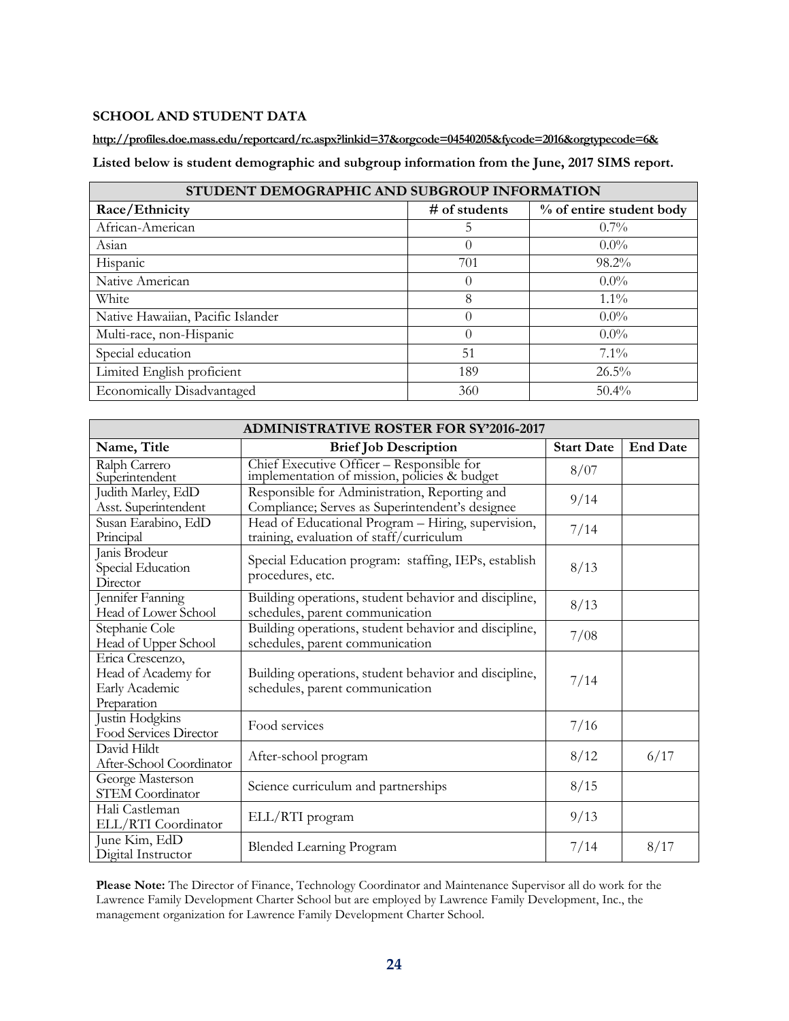# **SCHOOL AND STUDENT DATA**

**<http://profiles.doe.mass.edu/reportcard/rc.aspx?linkid=37&orgcode=04540205&fycode=2016&orgtypecode=6&>**

**Listed below is student demographic and subgroup information from the June, 2017 SIMS report.**

| STUDENT DEMOGRAPHIC AND SUBGROUP INFORMATION |               |                          |  |  |
|----------------------------------------------|---------------|--------------------------|--|--|
| Race/Ethnicity                               | # of students | % of entire student body |  |  |
| African-American                             | 5             | $0.7\%$                  |  |  |
| Asian                                        | $\theta$      | $0.0\%$                  |  |  |
| Hispanic                                     | 701           | 98.2%                    |  |  |
| Native American                              | $\theta$      | $0.0\%$                  |  |  |
| White                                        | 8             | $1.1\%$                  |  |  |
| Native Hawaiian, Pacific Islander            | $\theta$      | $0.0\%$                  |  |  |
| Multi-race, non-Hispanic                     | $\Omega$      | $0.0\%$                  |  |  |
| Special education                            | 51            | $7.1\%$                  |  |  |
| Limited English proficient                   | 189           | 26.5%                    |  |  |
| Economically Disadvantaged                   | 360           | $50.4\%$                 |  |  |

| <b>ADMINISTRATIVE ROSTER FOR SY'2016-2017</b>                            |                                                                                                  |                   |                 |
|--------------------------------------------------------------------------|--------------------------------------------------------------------------------------------------|-------------------|-----------------|
| Name, Title                                                              | <b>Brief Job Description</b>                                                                     | <b>Start Date</b> | <b>End Date</b> |
| Ralph Carrero<br>Superintendent                                          | Chief Executive Officer - Responsible for<br>implementation of mission, policies & budget        | 8/07              |                 |
| Judith Marley, EdD<br>Asst. Superintendent                               | Responsible for Administration, Reporting and<br>Compliance; Serves as Superintendent's designee | 9/14              |                 |
| Susan Earabino, EdD<br>Principal                                         | Head of Educational Program - Hiring, supervision,<br>training, evaluation of staff/curriculum   | 7/14              |                 |
| Janis Brodeur<br>Special Education<br>Director                           | Special Education program: staffing, IEPs, establish<br>procedures, etc.                         | 8/13              |                 |
| Jennifer Fanning<br>Head of Lower School                                 | Building operations, student behavior and discipline,<br>schedules, parent communication         | 8/13              |                 |
| Stephanie Cole<br>Head of Upper School                                   | Building operations, student behavior and discipline,<br>schedules, parent communication         | 7/08              |                 |
| Erica Crescenzo,<br>Head of Academy for<br>Early Academic<br>Preparation | Building operations, student behavior and discipline,<br>schedules, parent communication         | 7/14              |                 |
| Justin Hodgkins<br>Food Services Director                                | Food services                                                                                    | 7/16              |                 |
| David Hildt<br>After-School Coordinator                                  | After-school program                                                                             | 8/12              | 6/17            |
| George Masterson<br><b>STEM Coordinator</b>                              | Science curriculum and partnerships                                                              | 8/15              |                 |
| Hali Castleman<br>ELL/RTI Coordinator                                    | ELL/RTI program                                                                                  | 9/13              |                 |
| June Kim, EdD<br>Digital Instructor                                      | <b>Blended Learning Program</b>                                                                  | 7/14              | 8/17            |

**Please Note:** The Director of Finance, Technology Coordinator and Maintenance Supervisor all do work for the Lawrence Family Development Charter School but are employed by Lawrence Family Development, Inc., the management organization for Lawrence Family Development Charter School.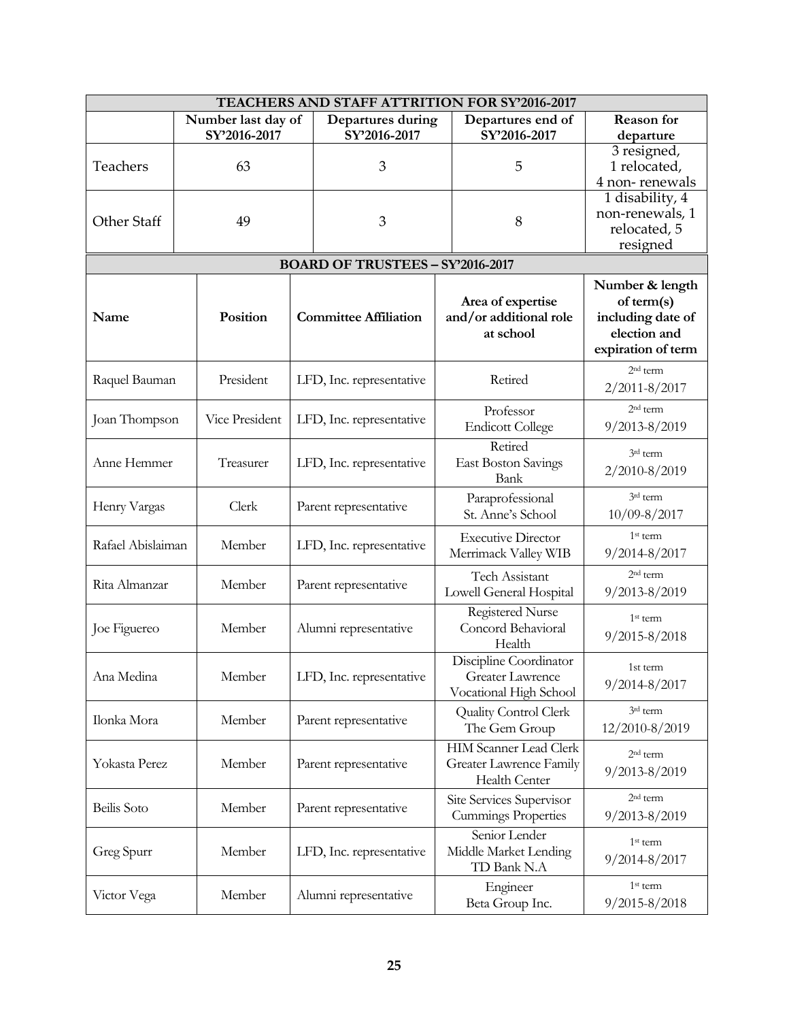| TEACHERS AND STAFF ATTRITION FOR SY'2016-2017  |                    |                     |                                         |                               |                                 |
|------------------------------------------------|--------------------|---------------------|-----------------------------------------|-------------------------------|---------------------------------|
|                                                | Number last day of |                     | Departures during                       | Departures end of             | <b>Reason</b> for               |
|                                                | SY'2016-2017       |                     | SY'2016-2017                            | SY'2016-2017                  | departure                       |
|                                                |                    |                     |                                         |                               | 3 resigned,                     |
| Teachers                                       | 63                 |                     | 3                                       | 5                             | 1 relocated,                    |
|                                                |                    |                     |                                         |                               | 4 non-renewals                  |
|                                                |                    |                     |                                         |                               | 1 disability, 4                 |
| Other Staff                                    | 49                 |                     | 3                                       | 8                             | non-renewals, 1<br>relocated, 5 |
|                                                |                    |                     |                                         |                               | resigned                        |
|                                                |                    |                     |                                         |                               |                                 |
|                                                |                    |                     | <b>BOARD OF TRUSTEES - SY'2016-2017</b> |                               |                                 |
|                                                |                    |                     |                                         |                               | Number & length                 |
|                                                |                    |                     |                                         | Area of expertise             | of term(s)                      |
| Name                                           | Position           |                     | <b>Committee Affiliation</b>            | and/or additional role        | including date of               |
|                                                |                    |                     |                                         | at school                     | election and                    |
|                                                |                    |                     |                                         |                               | expiration of term              |
| Raquel Bauman                                  | President          |                     | LFD, Inc. representative                | Retired                       | 2 <sup>nd</sup> term            |
|                                                |                    |                     |                                         |                               | 2/2011-8/2017                   |
|                                                |                    |                     |                                         | Professor                     | 2 <sup>nd</sup> term            |
| Joan Thompson                                  | Vice President     |                     | LFD, Inc. representative                | <b>Endicott College</b>       | $9/2013 - 8/2019$               |
|                                                |                    |                     |                                         | Retired                       |                                 |
| Anne Hemmer                                    | Treasurer          |                     | LFD, Inc. representative                | <b>East Boston Savings</b>    | 3rd term                        |
|                                                |                    |                     |                                         | Bank                          | 2/2010-8/2019                   |
|                                                |                    |                     |                                         | Paraprofessional              | 3rd term                        |
| Henry Vargas                                   | Clerk              |                     | Parent representative                   | St. Anne's School             | $10/09 - 8/2017$                |
|                                                |                    |                     |                                         |                               | 1 <sup>st</sup> term            |
| Rafael Abislaiman                              | Member             |                     | LFD, Inc. representative                | <b>Executive Director</b>     |                                 |
|                                                |                    |                     |                                         | Merrimack Valley WIB          | 9/2014-8/2017                   |
| Rita Almanzar                                  | Member             |                     | Parent representative                   | Tech Assistant                | $2nd$ term                      |
|                                                |                    |                     |                                         | Lowell General Hospital       | $9/2013 - 8/2019$               |
|                                                |                    |                     | Registered Nurse                        | $1st$ term                    |                                 |
| Joe Figuereo                                   | Member             |                     | Alumni representative                   | Concord Behavioral            | $9/2015 - 8/2018$               |
|                                                |                    |                     |                                         | Health                        |                                 |
|                                                |                    |                     |                                         | Discipline Coordinator        | 1st term                        |
| Ana Medina                                     | Member             |                     | LFD, Inc. representative                | <b>Greater Lawrence</b>       | 9/2014-8/2017                   |
|                                                |                    |                     |                                         | Vocational High School        |                                 |
| Ilonka Mora                                    | Member             |                     | Parent representative                   | Quality Control Clerk         | 3rd term                        |
|                                                |                    |                     |                                         | The Gem Group                 | 12/2010-8/2019                  |
|                                                |                    |                     |                                         | <b>HIM Scanner Lead Clerk</b> | 2 <sup>nd</sup> term            |
| Yokasta Perez                                  | Member             |                     | Parent representative                   | Greater Lawrence Family       | 9/2013-8/2019                   |
|                                                |                    |                     |                                         | Health Center                 |                                 |
|                                                |                    |                     |                                         | Site Services Supervisor      | 2 <sup>nd</sup> term            |
| Beilis Soto<br>Member<br>Parent representative |                    | Cummings Properties | 9/2013-8/2019                           |                               |                                 |
|                                                |                    |                     |                                         | Senior Lender                 |                                 |
| Greg Spurr                                     | Member             |                     | LFD, Inc. representative                | Middle Market Lending         | 1 <sup>st</sup> term            |
|                                                |                    |                     |                                         | TD Bank N.A                   | 9/2014-8/2017                   |
|                                                |                    |                     |                                         | Engineer                      | 1st term                        |
| Victor Vega                                    | Member             |                     | Alumni representative                   | Beta Group Inc.               | 9/2015-8/2018                   |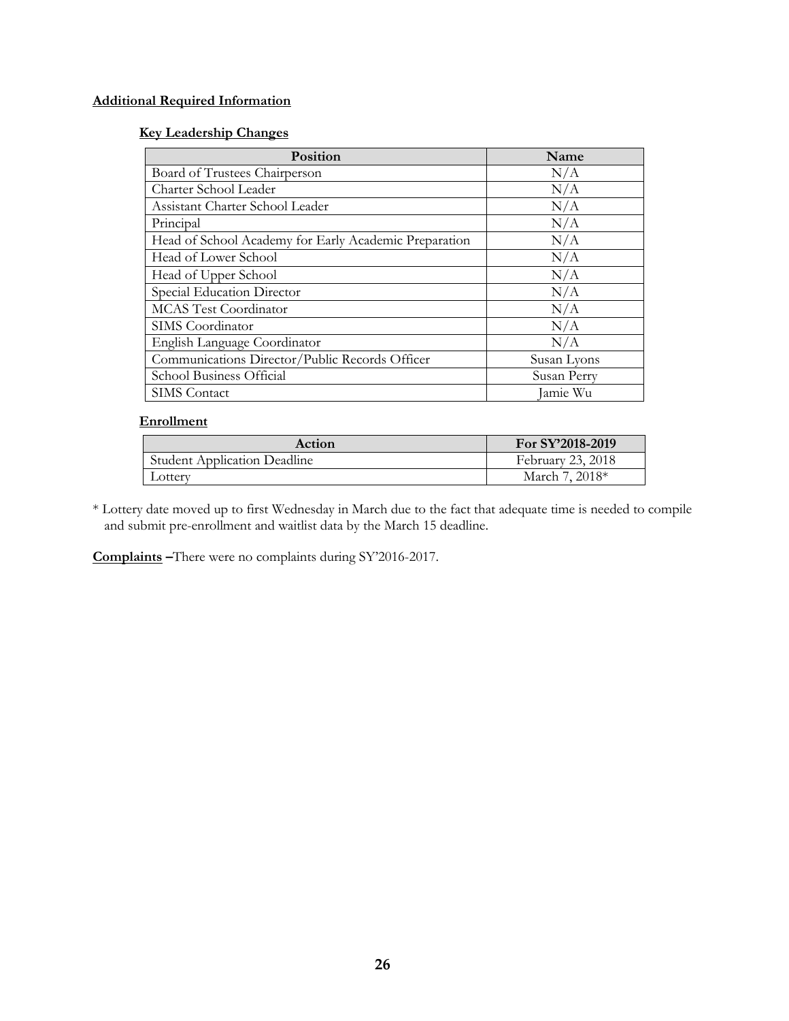# **Additional Required Information**

# **Key Leadership Changes**

| Position                                              | Name        |
|-------------------------------------------------------|-------------|
| Board of Trustees Chairperson                         | N/A         |
| Charter School Leader                                 | N/A         |
| Assistant Charter School Leader                       | N/A         |
| Principal                                             | N/A         |
| Head of School Academy for Early Academic Preparation | N/A         |
| Head of Lower School                                  | N/A         |
| Head of Upper School                                  | N/A         |
| Special Education Director                            | N/A         |
| <b>MCAS</b> Test Coordinator                          | N/A         |
| SIMS Coordinator                                      | N/A         |
| English Language Coordinator                          | N/A         |
| Communications Director/Public Records Officer        | Susan Lyons |
| School Business Official                              | Susan Perry |
| <b>SIMS</b> Contact                                   | Jamie Wu    |

# **Enrollment**

| Action                              | For SY'2018-2019  |
|-------------------------------------|-------------------|
| <b>Student Application Deadline</b> | February 23, 2018 |
| Lotterv                             | March 7, 2018*    |

\* Lottery date moved up to first Wednesday in March due to the fact that adequate time is needed to compile and submit pre-enrollment and waitlist data by the March 15 deadline.

**Complaints –**There were no complaints during SY'2016-2017.